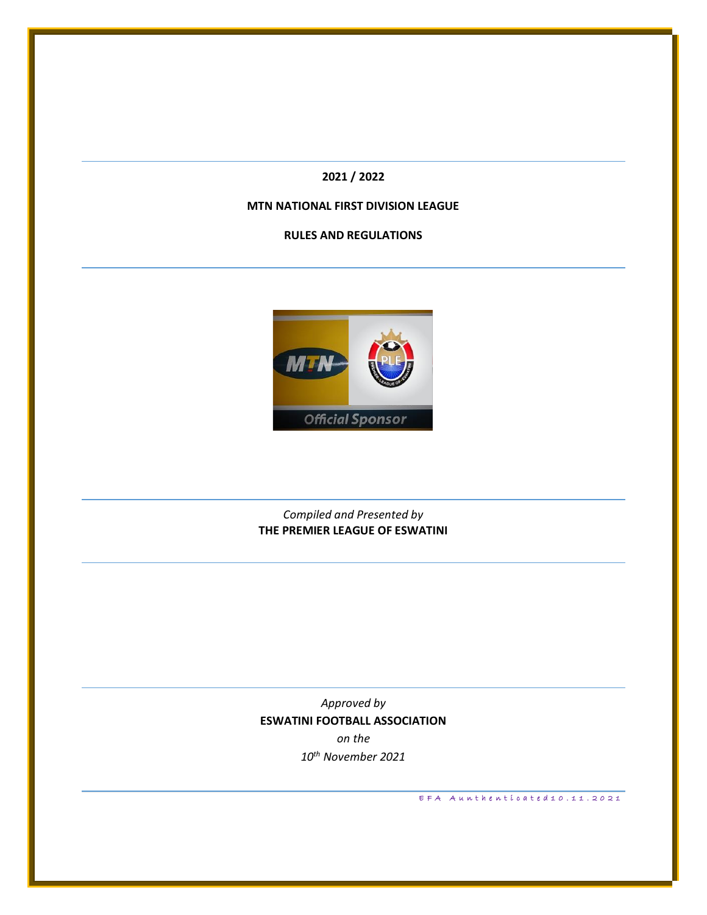**2021 / 2022**

## **MTN NATIONAL FIRST DIVISION LEAGUE**

**RULES AND REGULATIONS**



# *Compiled and Presented by* **THE PREMIER LEAGUE OF ESWATINI**

*Approved by* **ESWATINI FOOTBALL ASSOCIATION** *on the 10th November 2021*

E F A Aunthenticated 10.11.2021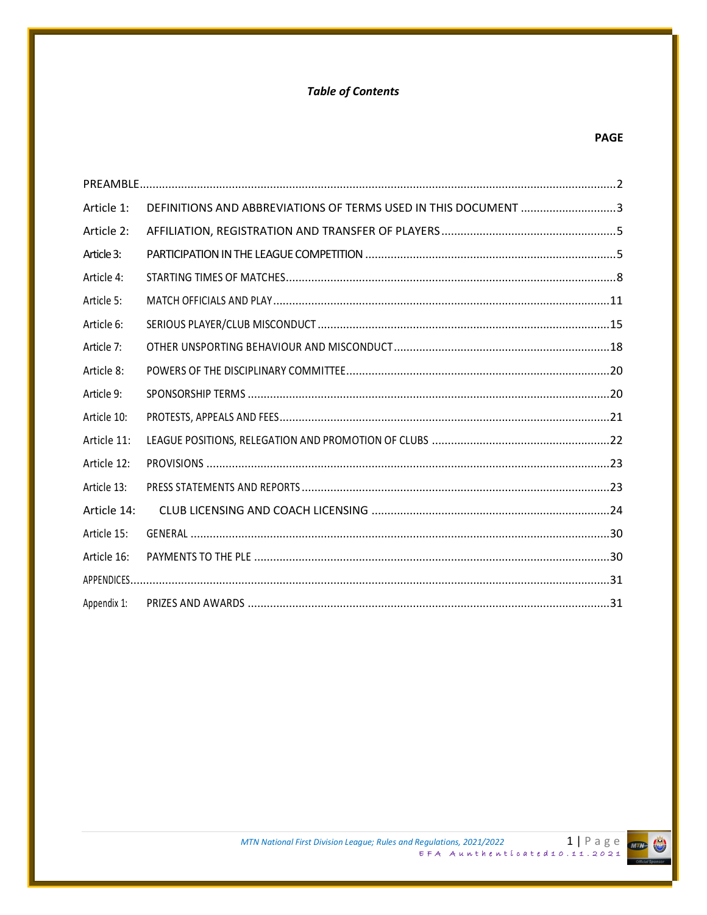# **Table of Contents**

| Article 1:  | DEFINITIONS AND ABBREVIATIONS OF TERMS USED IN THIS DOCUMENT 3 |
|-------------|----------------------------------------------------------------|
| Article 2:  |                                                                |
| Article 3:  |                                                                |
| Article 4:  |                                                                |
| Article 5:  |                                                                |
| Article 6:  |                                                                |
| Article 7:  |                                                                |
| Article 8:  |                                                                |
| Article 9:  |                                                                |
| Article 10: |                                                                |
| Article 11: |                                                                |
| Article 12: |                                                                |
| Article 13: |                                                                |
| Article 14: |                                                                |
| Article 15: |                                                                |
| Article 16: |                                                                |
|             |                                                                |
| Appendix 1: |                                                                |

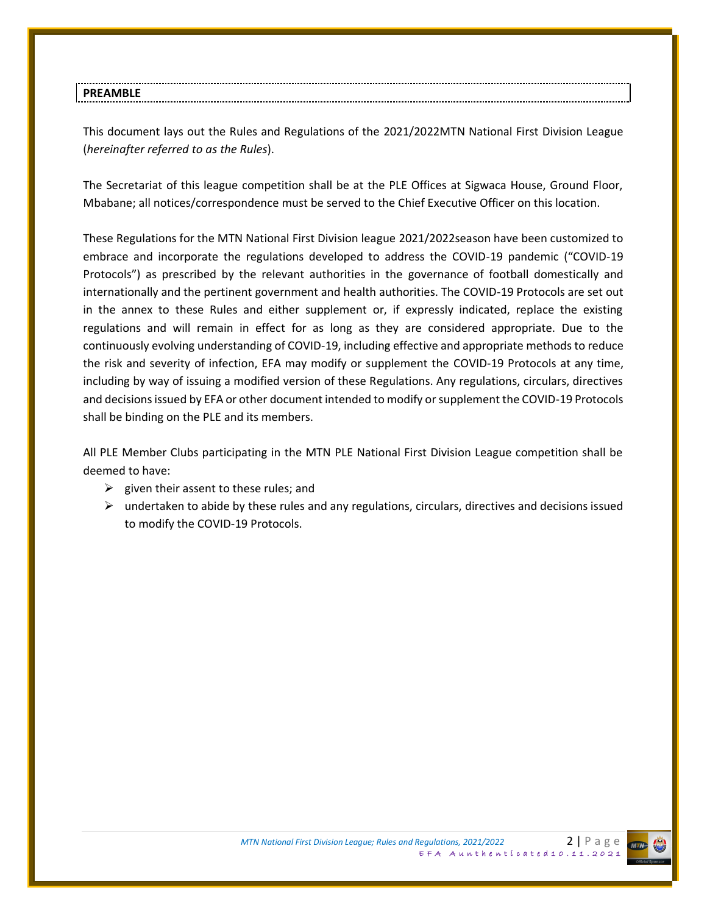This document lays out the Rules and Regulations of the 2021/2022MTN National First Division League (*hereinafter referred to as the Rules*).

The Secretariat of this league competition shall be at the PLE Offices at Sigwaca House, Ground Floor, Mbabane; all notices/correspondence must be served to the Chief Executive Officer on this location.

These Regulations for the MTN National First Division league 2021/2022season have been customized to embrace and incorporate the regulations developed to address the COVID-19 pandemic ("COVID-19 Protocols") as prescribed by the relevant authorities in the governance of football domestically and internationally and the pertinent government and health authorities. The COVID-19 Protocols are set out in the annex to these Rules and either supplement or, if expressly indicated, replace the existing regulations and will remain in effect for as long as they are considered appropriate. Due to the continuously evolving understanding of COVID-19, including effective and appropriate methods to reduce the risk and severity of infection, EFA may modify or supplement the COVID-19 Protocols at any time, including by way of issuing a modified version of these Regulations. Any regulations, circulars, directives and decisions issued by EFA or other document intended to modify or supplement the COVID-19 Protocols shall be binding on the PLE and its members.

All PLE Member Clubs participating in the MTN PLE National First Division League competition shall be deemed to have:

- $\triangleright$  given their assent to these rules; and
- $\triangleright$  undertaken to abide by these rules and any regulations, circulars, directives and decisions issued to modify the COVID-19 Protocols.

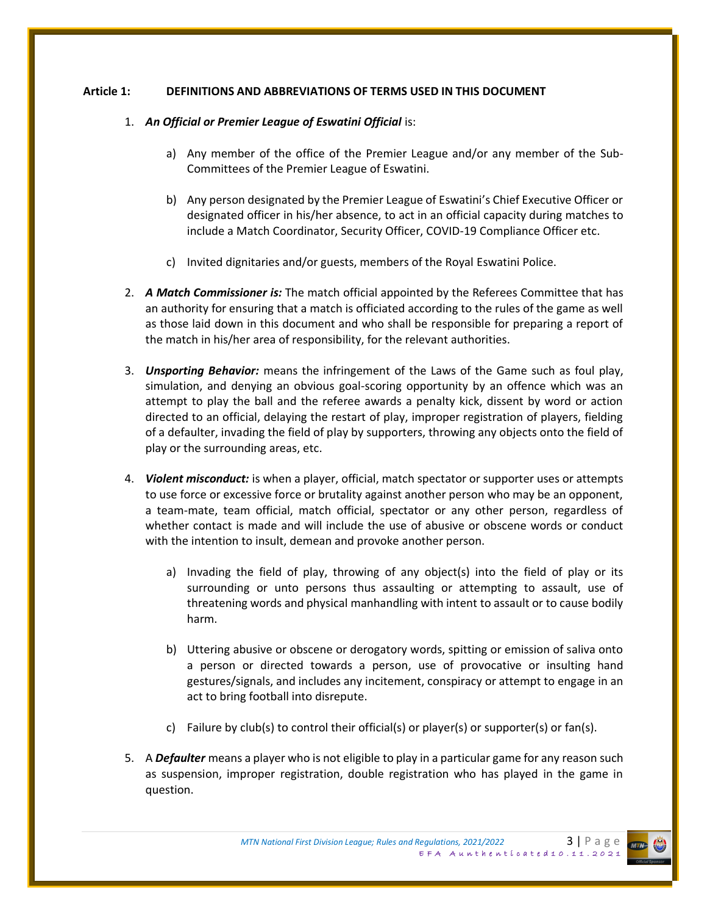### **Article 1: DEFINITIONS AND ABBREVIATIONS OF TERMS USED IN THIS DOCUMENT**

#### 1. *An Official or Premier League of Eswatini Official* is:

- a) Any member of the office of the Premier League and/or any member of the Sub-Committees of the Premier League of Eswatini.
- b) Any person designated by the Premier League of Eswatini's Chief Executive Officer or designated officer in his/her absence, to act in an official capacity during matches to include a Match Coordinator, Security Officer, COVID-19 Compliance Officer etc.
- c) Invited dignitaries and/or guests, members of the Royal Eswatini Police.
- 2. *A Match Commissioner is:* The match official appointed by the Referees Committee that has an authority for ensuring that a match is officiated according to the rules of the game as well as those laid down in this document and who shall be responsible for preparing a report of the match in his/her area of responsibility, for the relevant authorities.
- 3. *Unsporting Behavior:* means the infringement of the Laws of the Game such as foul play, simulation, and denying an obvious goal-scoring opportunity by an offence which was an attempt to play the ball and the referee awards a penalty kick, dissent by word or action directed to an official, delaying the restart of play, improper registration of players, fielding of a defaulter, invading the field of play by supporters, throwing any objects onto the field of play or the surrounding areas, etc.
- 4. *Violent misconduct:* is when a player, official, match spectator or supporter uses or attempts to use force or excessive force or brutality against another person who may be an opponent, a team-mate, team official, match official, spectator or any other person, regardless of whether contact is made and will include the use of abusive or obscene words or conduct with the intention to insult, demean and provoke another person.
	- a) Invading the field of play, throwing of any object(s) into the field of play or its surrounding or unto persons thus assaulting or attempting to assault, use of threatening words and physical manhandling with intent to assault or to cause bodily harm.
	- b) Uttering abusive or obscene or derogatory words, spitting or emission of saliva onto a person or directed towards a person, use of provocative or insulting hand gestures/signals, and includes any incitement, conspiracy or attempt to engage in an act to bring football into disrepute.
	- c) Failure by club(s) to control their official(s) or player(s) or supporter(s) or fan(s).
- 5. A *Defaulter* means a player who is not eligible to play in a particular game for any reason such as suspension, improper registration, double registration who has played in the game in question.

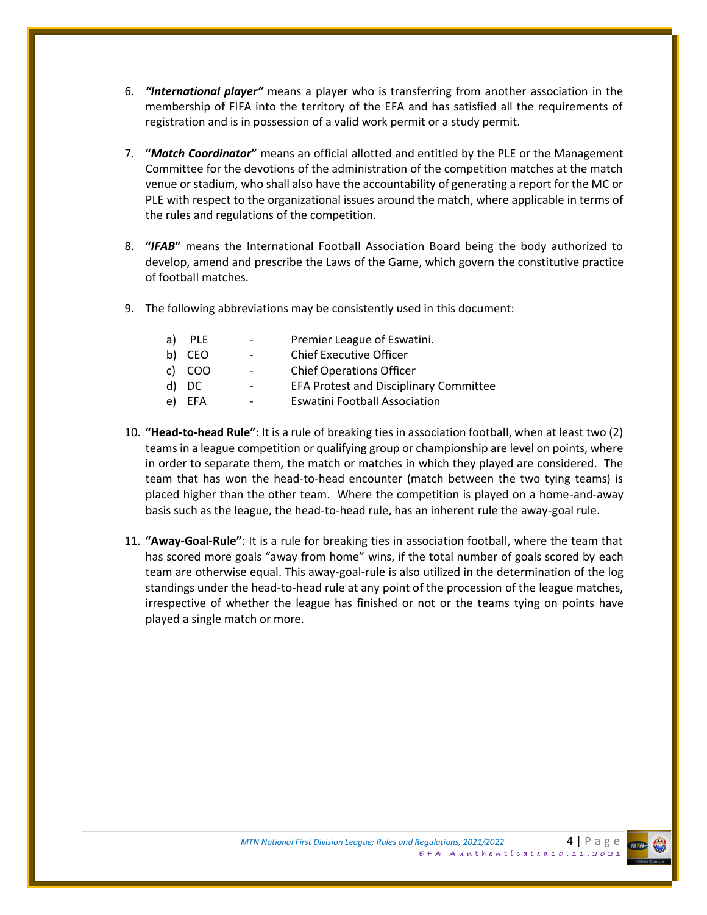- 6. *"International player"* means a player who is transferring from another association in the membership of FIFA into the territory of the EFA and has satisfied all the requirements of registration and is in possession of a valid work permit or a study permit.
- 7. **"***Match Coordinator***"** means an official allotted and entitled by the PLE or the Management Committee for the devotions of the administration of the competition matches at the match venue or stadium, who shall also have the accountability of generating a report for the MC or PLE with respect to the organizational issues around the match, where applicable in terms of the rules and regulations of the competition.
- 8. **"***IFAB***"** means the International Football Association Board being the body authorized to develop, amend and prescribe the Laws of the Game, which govern the constitutive practice of football matches.
- 9. The following abbreviations may be consistently used in this document:

| a) | <b>PLE</b> | $\overline{\phantom{a}}$ | Premier League of Eswatini.                   |
|----|------------|--------------------------|-----------------------------------------------|
|    | b) CEO     | $\sim$                   | <b>Chief Executive Officer</b>                |
|    | c) COO     | $\overline{a}$           | <b>Chief Operations Officer</b>               |
|    | d) DC      | $\overline{\phantom{a}}$ | <b>EFA Protest and Disciplinary Committee</b> |
|    | e) EFA     | $\overline{a}$           | <b>Eswatini Football Association</b>          |

- 10. **"Head-to-head Rule"**: It is a rule of breaking ties in association football, when at least two (2) teams in a league competition or qualifying group or championship are level on points, where in order to separate them, the match or matches in which they played are considered. The team that has won the head-to-head encounter (match between the two tying teams) is placed higher than the other team. Where the competition is played on a home-and-away basis such as the league, the head-to-head rule, has an inherent rule the away-goal rule.
- 11. **"Away-Goal-Rule"**: It is a rule for breaking ties in association football, where the team that has scored more goals "away from home" wins, if the total number of goals scored by each team are otherwise equal. This away-goal-rule is also utilized in the determination of the log standings under the head-to-head rule at any point of the procession of the league matches, irrespective of whether the league has finished or not or the teams tying on points have played a single match or more.

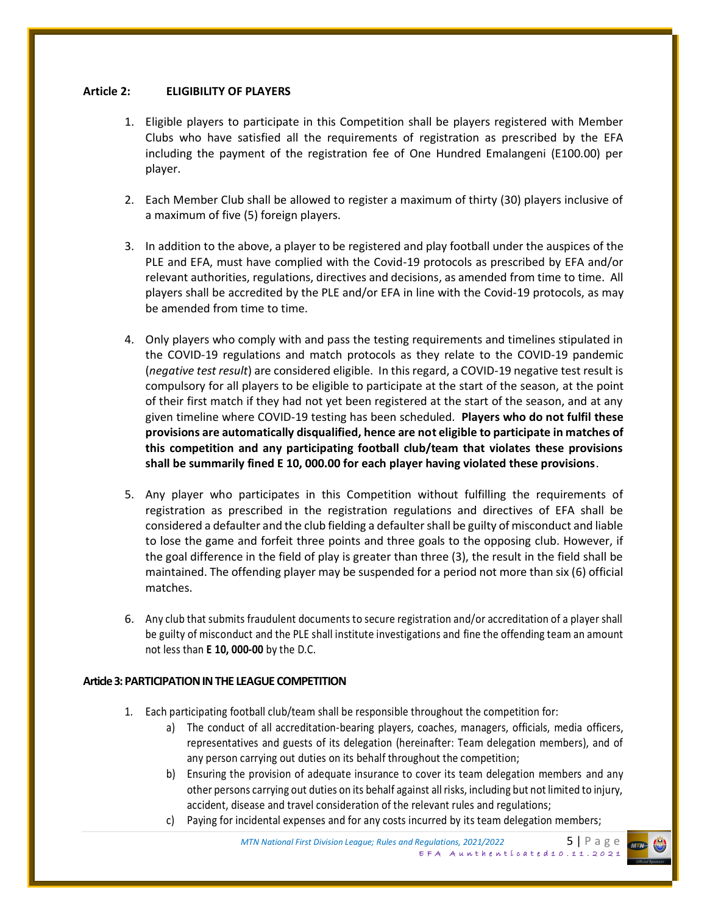### **Article 2: ELIGIBILITY OF PLAYERS**

- 1. Eligible players to participate in this Competition shall be players registered with Member Clubs who have satisfied all the requirements of registration as prescribed by the EFA including the payment of the registration fee of One Hundred Emalangeni (E100.00) per player.
- 2. Each Member Club shall be allowed to register a maximum of thirty (30) players inclusive of a maximum of five (5) foreign players.
- 3. In addition to the above, a player to be registered and play football under the auspices of the PLE and EFA, must have complied with the Covid-19 protocols as prescribed by EFA and/or relevant authorities, regulations, directives and decisions, as amended from time to time. All players shall be accredited by the PLE and/or EFA in line with the Covid-19 protocols, as may be amended from time to time.
- 4. Only players who comply with and pass the testing requirements and timelines stipulated in the COVID-19 regulations and match protocols as they relate to the COVID-19 pandemic (*negative test result*) are considered eligible. In this regard, a COVID-19 negative test result is compulsory for all players to be eligible to participate at the start of the season, at the point of their first match if they had not yet been registered at the start of the season, and at any given timeline where COVID-19 testing has been scheduled. **Players who do not fulfil these provisions are automatically disqualified, hence are not eligible to participate in matches of this competition and any participating football club/team that violates these provisions shall be summarily fined E 10, 000.00 for each player having violated these provisions**.
- 5. Any player who participates in this Competition without fulfilling the requirements of registration as prescribed in the registration regulations and directives of EFA shall be considered a defaulter and the club fielding a defaulter shall be guilty of misconduct and liable to lose the game and forfeit three points and three goals to the opposing club. However, if the goal difference in the field of play is greater than three (3), the result in the field shall be maintained. The offending player may be suspended for a period not more than six (6) official matches.
- 6. Any club that submits fraudulent documents to secure registration and/or accreditation of a player shall be guilty of misconduct and the PLE shall institute investigations and fine the offending team an amount not less than **E 10, 000-00** by the D.C.

### **Article 3: PARTICIPATION IN THE LEAGUE COMPETITION**

- 1. Each participating football club/team shall be responsible throughout the competition for:
	- a) The conduct of all accreditation-bearing players, coaches, managers, officials, media officers, representatives and guests of its delegation (hereinafter: Team delegation members), and of any person carrying out duties on its behalf throughout the competition;
	- b) Ensuring the provision of adequate insurance to cover its team delegation members and any other persons carrying out duties on its behalf against all risks, including but not limited to injury, accident, disease and travel consideration of the relevant rules and regulations;
	- c) Paying for incidental expenses and for any costs incurred by its team delegation members;

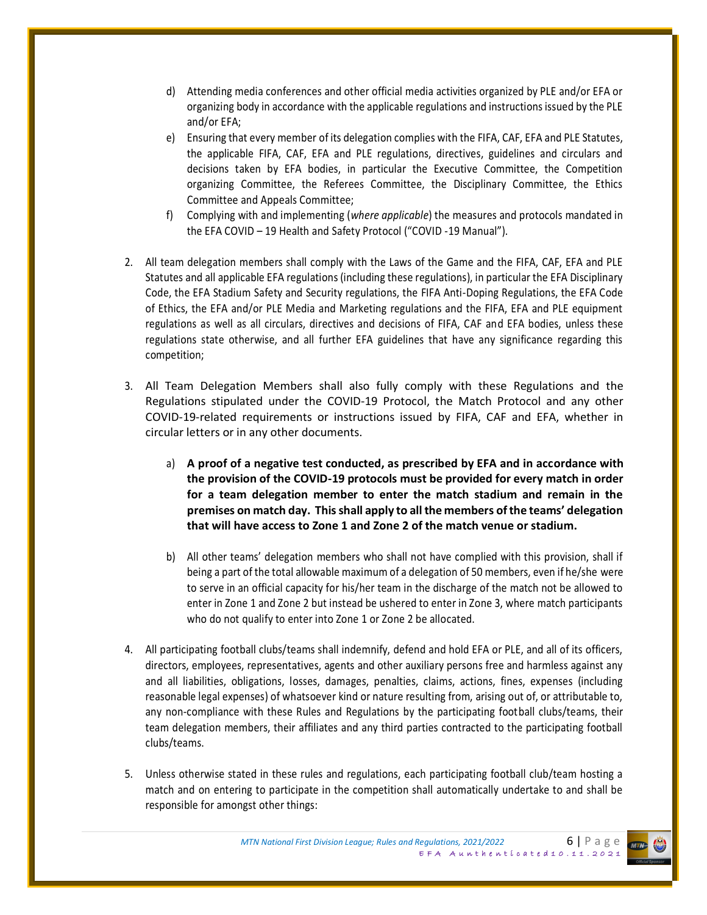- d) Attending media conferences and other official media activities organized by PLE and/or EFA or organizing body in accordance with the applicable regulations and instructions issued by the PLE and/or EFA;
- e) Ensuring that every member of its delegation complies with the FIFA, CAF, EFA and PLE Statutes, the applicable FIFA, CAF, EFA and PLE regulations, directives, guidelines and circulars and decisions taken by EFA bodies, in particular the Executive Committee, the Competition organizing Committee, the Referees Committee, the Disciplinary Committee, the Ethics Committee and Appeals Committee;
- f) Complying with and implementing (*where applicable*) the measures and protocols mandated in the EFA COVID – 19 Health and Safety Protocol ("COVID -19 Manual").
- 2. All team delegation members shall comply with the Laws of the Game and the FIFA, CAF, EFA and PLE Statutes and all applicable EFA regulations (including these regulations), in particular the EFA Disciplinary Code, the EFA Stadium Safety and Security regulations, the FIFA Anti-Doping Regulations, the EFA Code of Ethics, the EFA and/or PLE Media and Marketing regulations and the FIFA, EFA and PLE equipment regulations as well as all circulars, directives and decisions of FIFA, CAF and EFA bodies, unless these regulations state otherwise, and all further EFA guidelines that have any significance regarding this competition;
- 3. All Team Delegation Members shall also fully comply with these Regulations and the Regulations stipulated under the COVID-19 Protocol, the Match Protocol and any other COVID-19-related requirements or instructions issued by FIFA, CAF and EFA, whether in circular letters or in any other documents.
	- a) **A proof of a negative test conducted, as prescribed by EFA and in accordance with the provision of the COVID-19 protocols must be provided for every match in order for a team delegation member to enter the match stadium and remain in the premises on match day. This shall apply to all the members of the teams' delegation that will have access to Zone 1 and Zone 2 of the match venue or stadium.**
	- b) All other teams' delegation members who shall not have complied with this provision, shall if being a part of the total allowable maximum of a delegation of 50 members, even if he/she were to serve in an official capacity for his/her team in the discharge of the match not be allowed to enter in Zone 1 and Zone 2 but instead be ushered to enter in Zone 3, where match participants who do not qualify to enter into Zone 1 or Zone 2 be allocated.
- 4. All participating football clubs/teams shall indemnify, defend and hold EFA or PLE, and all of its officers, directors, employees, representatives, agents and other auxiliary persons free and harmless against any and all liabilities, obligations, losses, damages, penalties, claims, actions, fines, expenses (including reasonable legal expenses) of whatsoever kind or nature resulting from, arising out of, or attributable to, any non-compliance with these Rules and Regulations by the participating football clubs/teams, their team delegation members, their affiliates and any third parties contracted to the participating football clubs/teams.
- 5. Unless otherwise stated in these rules and regulations, each participating football club/team hosting a match and on entering to participate in the competition shall automatically undertake to and shall be responsible for amongst other things:

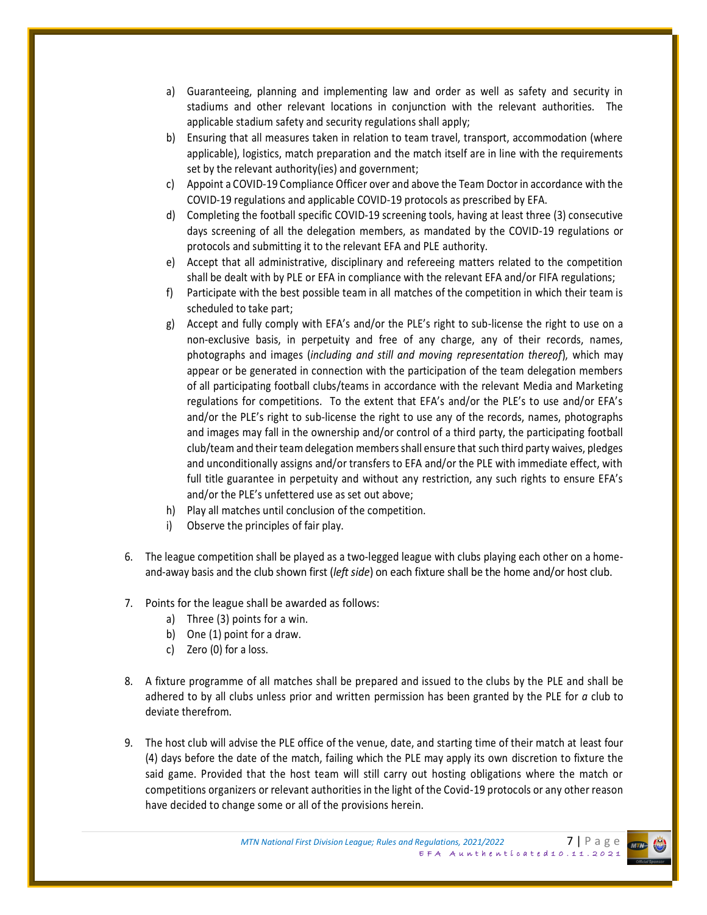- a) Guaranteeing, planning and implementing law and order as well as safety and security in stadiums and other relevant locations in conjunction with the relevant authorities. The applicable stadium safety and security regulations shall apply;
- b) Ensuring that all measures taken in relation to team travel, transport, accommodation (where applicable), logistics, match preparation and the match itself are in line with the requirements set by the relevant authority(ies) and government;
- c) Appoint a COVID-19 Compliance Officer over and above the Team Doctor in accordance with the COVID-19 regulations and applicable COVID-19 protocols as prescribed by EFA.
- d) Completing the football specific COVID-19 screening tools, having at least three (3) consecutive days screening of all the delegation members, as mandated by the COVID-19 regulations or protocols and submitting it to the relevant EFA and PLE authority.
- e) Accept that all administrative, disciplinary and refereeing matters related to the competition shall be dealt with by PLE or EFA in compliance with the relevant EFA and/or FIFA regulations;
- f) Participate with the best possible team in all matches of the competition in which their team is scheduled to take part;
- g) Accept and fully comply with EFA's and/or the PLE's right to sub-license the right to use on a non-exclusive basis, in perpetuity and free of any charge, any of their records, names, photographs and images (*including and still and moving representation thereof*), which may appear or be generated in connection with the participation of the team delegation members of all participating football clubs/teams in accordance with the relevant Media and Marketing regulations for competitions. To the extent that EFA's and/or the PLE's to use and/or EFA's and/or the PLE's right to sub-license the right to use any of the records, names, photographs and images may fall in the ownership and/or control of a third party, the participating football club/team and their team delegation members shall ensure that such third party waives, pledges and unconditionally assigns and/or transfers to EFA and/or the PLE with immediate effect, with full title guarantee in perpetuity and without any restriction, any such rights to ensure EFA's and/or the PLE's unfettered use as set out above;
- h) Play all matches until conclusion of the competition.
- i) Observe the principles of fair play.
- 6. The league competition shall be played as a two-legged league with clubs playing each other on a homeand-away basis and the club shown first (*left side*) on each fixture shall be the home and/or host club.
- 7. Points for the league shall be awarded as follows:
	- a) Three (3) points for a win.
	- b) One (1) point for a draw.
	- c) Zero (0) for a loss.
- 8. A fixture programme of all matches shall be prepared and issued to the clubs by the PLE and shall be adhered to by all clubs unless prior and written permission has been granted by the PLE for *a* club to deviate therefrom.
- 9. The host club will advise the PLE office of the venue, date, and starting time of their match at least four (4) days before the date of the match, failing which the PLE may apply its own discretion to fixture the said game. Provided that the host team will still carry out hosting obligations where the match or competitions organizers or relevant authorities in the light of the Covid-19 protocols or any other reason have decided to change some or all of the provisions herein.

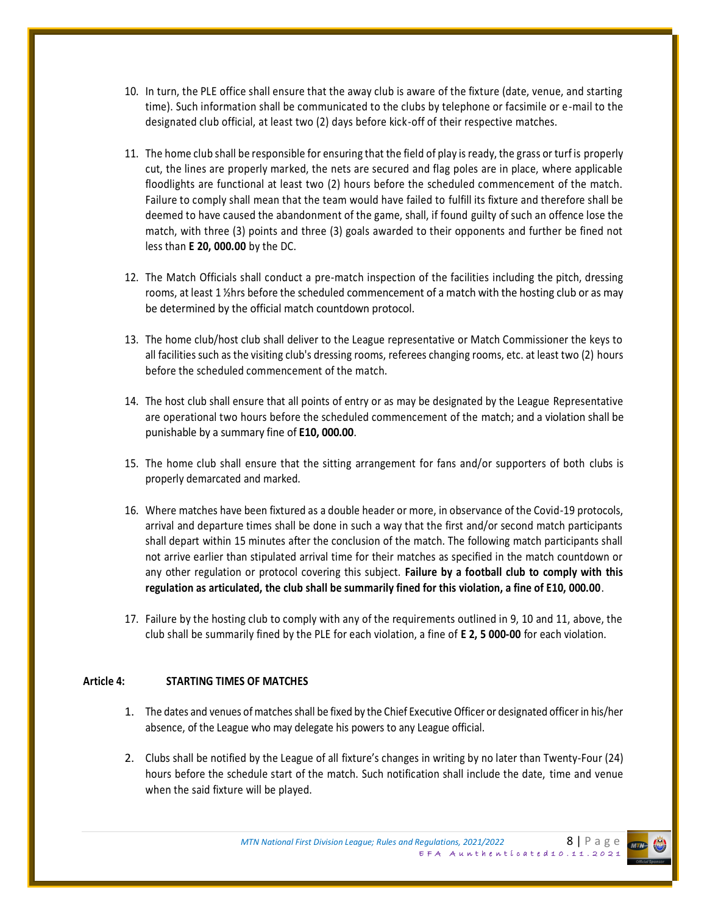- 10. In turn, the PLE office shall ensure that the away club is aware of the fixture (date, venue, and starting time). Such information shall be communicated to the clubs by telephone or facsimile or e-mail to the designated club official, at least two (2) days before kick-off of their respective matches.
- 11. The home club shall be responsible for ensuring that the field of play is ready, the grass or turf is properly cut, the lines are properly marked, the nets are secured and flag poles are in place, where applicable floodlights are functional at least two (2) hours before the scheduled commencement of the match. Failure to comply shall mean that the team would have failed to fulfill its fixture and therefore shall be deemed to have caused the abandonment of the game, shall, if found guilty of such an offence lose the match, with three (3) points and three (3) goals awarded to their opponents and further be fined not less than **E 20, 000.00** by the DC.
- 12. The Match Officials shall conduct a pre-match inspection of the facilities including the pitch, dressing rooms, at least 1 ½hrs before the scheduled commencement of a match with the hosting club or as may be determined by the official match countdown protocol.
- 13. The home club/host club shall deliver to the League representative or Match Commissioner the keys to all facilities such as the visiting club's dressing rooms, referees changing rooms, etc. at least two (2) hours before the scheduled commencement of the match.
- 14. The host club shall ensure that all points of entry or as may be designated by the League Representative are operational two hours before the scheduled commencement of the match; and a violation shall be punishable by a summary fine of **E10, 000.00**.
- 15. The home club shall ensure that the sitting arrangement for fans and/or supporters of both clubs is properly demarcated and marked.
- 16. Where matches have been fixtured as a double header or more, in observance of the Covid-19 protocols, arrival and departure times shall be done in such a way that the first and/or second match participants shall depart within 15 minutes after the conclusion of the match. The following match participants shall not arrive earlier than stipulated arrival time for their matches as specified in the match countdown or any other regulation or protocol covering this subject. **Failure by a football club to comply with this regulation as articulated, the club shall be summarily fined for this violation, a fine of E10, 000.00**.
- 17. Failure by the hosting club to comply with any of the requirements outlined in 9, 10 and 11, above, the club shall be summarily fined by the PLE for each violation, a fine of **E 2, 5 000-00** for each violation.

#### **Article 4: STARTING TIMES OF MATCHES**

- 1. The dates and venues of matches shall be fixed by the Chief Executive Officer or designated officer in his/her absence, of the League who may delegate his powers to any League official.
- 2. Clubs shall be notified by the League of all fixture's changes in writing by no later than Twenty-Four (24) hours before the schedule start of the match. Such notification shall include the date, time and venue when the said fixture will be played.

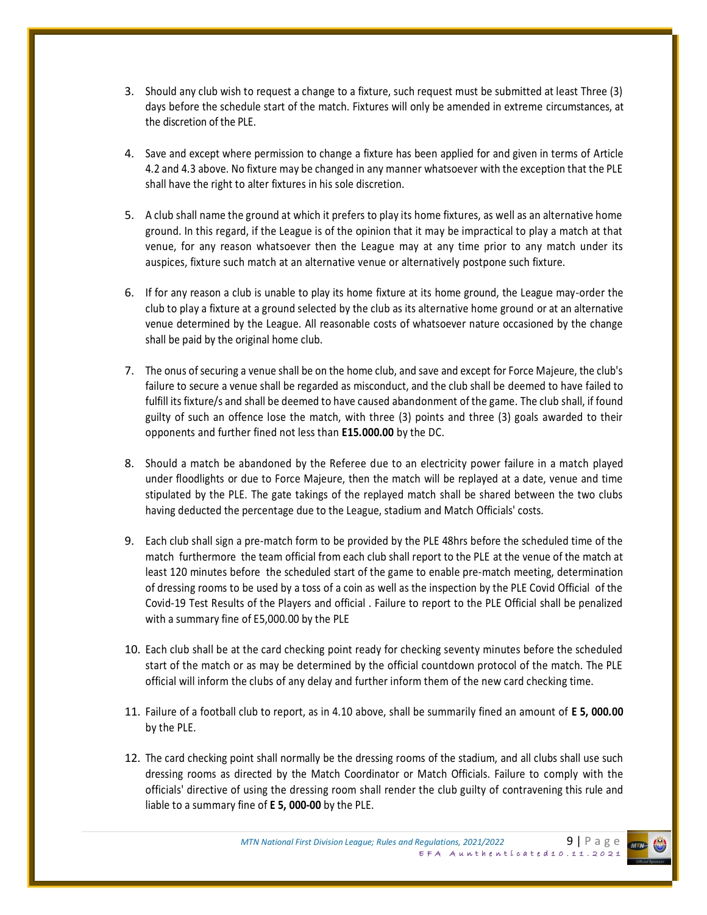- 3. Should any club wish to request a change to a fixture, such request must be submitted at least Three (3) days before the schedule start of the match. Fixtures will only be amended in extreme circumstances, at the discretion of the PLE.
- 4. Save and except where permission to change a fixture has been applied for and given in terms of Article 4.2 and 4.3 above. No fixture may be changed in any manner whatsoever with the exception that the PLE shall have the right to alter fixtures in his sole discretion.
- 5. A club shall name the ground at which it prefers to play its home fixtures, as well as an alternative home ground. In this regard, if the League is of the opinion that it may be impractical to play a match at that venue, for any reason whatsoever then the League may at any time prior to any match under its auspices, fixture such match at an alternative venue or alternatively postpone such fixture.
- 6. If for any reason a club is unable to play its home fixture at its home ground, the League may-order the club to play a fixture at a ground selected by the club as its alternative home ground or at an alternative venue determined by the League. All reasonable costs of whatsoever nature occasioned by the change shall be paid by the original home club.
- 7. The onus of securing a venue shall be on the home club, and save and except for Force Majeure, the club's failure to secure a venue shall be regarded as misconduct, and the club shall be deemed to have failed to fulfill its fixture/s and shall be deemed to have caused abandonment of the game. The club shall, if found guilty of such an offence lose the match, with three (3) points and three (3) goals awarded to their opponents and further fined not less than **E15.000.00** by the DC.
- 8. Should a match be abandoned by the Referee due to an electricity power failure in a match played under floodlights or due to Force Majeure, then the match will be replayed at a date, venue and time stipulated by the PLE. The gate takings of the replayed match shall be shared between the two clubs having deducted the percentage due to the League, stadium and Match Officials' costs.
- 9. Each club shall sign a pre-match form to be provided by the PLE 48hrs before the scheduled time of the match furthermore the team official from each club shall report to the PLE at the venue of the match at least 120 minutes before the scheduled start of the game to enable pre-match meeting, determination of dressing rooms to be used by a toss of a coin as well as the inspection by the PLE Covid Official of the Covid-19 Test Results of the Players and official . Failure to report to the PLE Official shall be penalized with a summary fine of E5,000.00 by the PLE
- 10. Each club shall be at the card checking point ready for checking seventy minutes before the scheduled start of the match or as may be determined by the official countdown protocol of the match. The PLE official will inform the clubs of any delay and further inform them of the new card checking time.
- 11. Failure of a football club to report, as in 4.10 above, shall be summarily fined an amount of **E 5, 000.00**  by the PLE.
- 12. The card checking point shall normally be the dressing rooms of the stadium, and all clubs shall use such dressing rooms as directed by the Match Coordinator or Match Officials. Failure to comply with the officials' directive of using the dressing room shall render the club guilty of contravening this rule and liable to a summary fine of **E 5, 000-00** by the PLE.

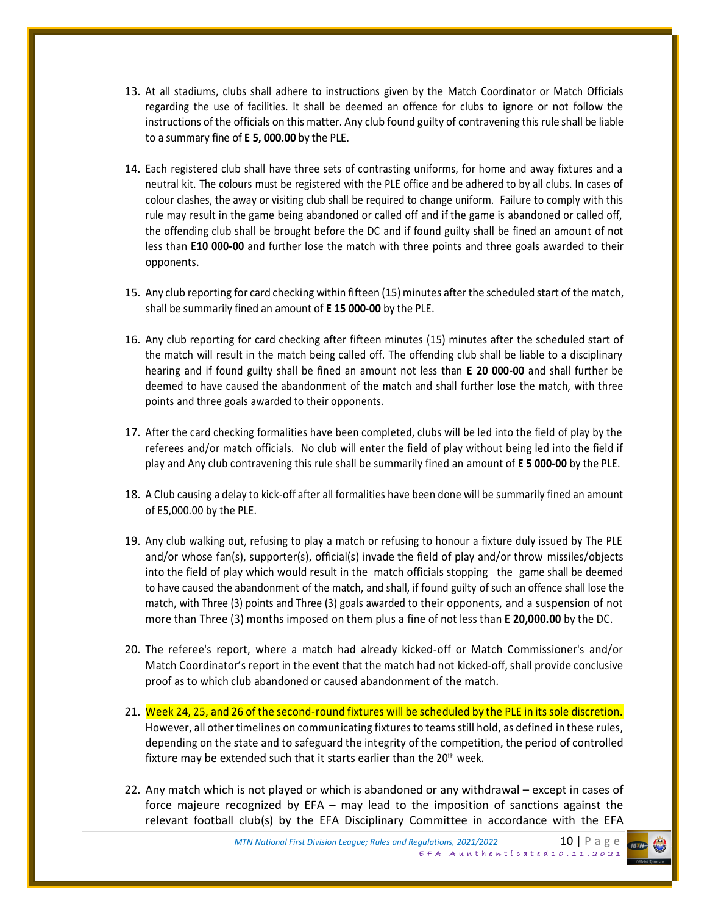- 13. At all stadiums, clubs shall adhere to instructions given by the Match Coordinator or Match Officials regarding the use of facilities. It shall be deemed an offence for clubs to ignore or not follow the instructions of the officials on this matter. Any club found guilty of contravening this rule shall be liable to a summary fine of **E 5, 000.00** by the PLE.
- 14. Each registered club shall have three sets of contrasting uniforms, for home and away fixtures and a neutral kit. The colours must be registered with the PLE office and be adhered to by all clubs. In cases of colour clashes, the away or visiting club shall be required to change uniform. Failure to comply with this rule may result in the game being abandoned or called off and if the game is abandoned or called off, the offending club shall be brought before the DC and if found guilty shall be fined an amount of not less than **E10 000-00** and further lose the match with three points and three goals awarded to their opponents.
- 15. Any club reporting for card checking within fifteen (15) minutes after the scheduled start of the match, shall be summarily fined an amount of **E 15 000-00** by the PLE.
- 16. Any club reporting for card checking after fifteen minutes (15) minutes after the scheduled start of the match will result in the match being called off. The offending club shall be liable to a disciplinary hearing and if found guilty shall be fined an amount not less than **E 20 000-00** and shall further be deemed to have caused the abandonment of the match and shall further lose the match, with three points and three goals awarded to their opponents.
- 17. After the card checking formalities have been completed, clubs will be led into the field of play by the referees and/or match officials. No club will enter the field of play without being led into the field if play and Any club contravening this rule shall be summarily fined an amount of **E 5 000-00** by the PLE.
- 18. A Club causing a delay to kick-off after all formalities have been done will be summarily fined an amount of E5,000.00 by the PLE.
- 19. Any club walking out, refusing to play a match or refusing to honour a fixture duly issued by The PLE and/or whose fan(s), supporter(s), official(s) invade the field of play and/or throw missiles/objects into the field of play which would result in the match officials stopping the game shall be deemed to have caused the abandonment of the match, and shall, if found guilty of such an offence shall lose the match, with Three (3) points and Three (3) goals awarded to their opponents, and a suspension of not more than Three (3) months imposed on them plus a fine of not less than **E 20,000.00** by the DC.
- 20. The referee's report, where a match had already kicked-off or Match Commissioner's and/or Match Coordinator's report in the event that the match had not kicked-off, shall provide conclusive proof as to which club abandoned or caused abandonment of the match.
- 21. Week 24, 25, and 26 of the second-round fixtures will be scheduled by the PLE in its sole discretion. However, all other timelines on communicating fixtures to teams still hold, as defined in these rules, depending on the state and to safeguard the integrity of the competition, the period of controlled fixture may be extended such that it starts earlier than the 20<sup>th</sup> week.
- 22. Any match which is not played or which is abandoned or any withdrawal except in cases of force majeure recognized by EFA – may lead to the imposition of sanctions against the relevant football club(s) by the EFA Disciplinary Committee in accordance with the EFA

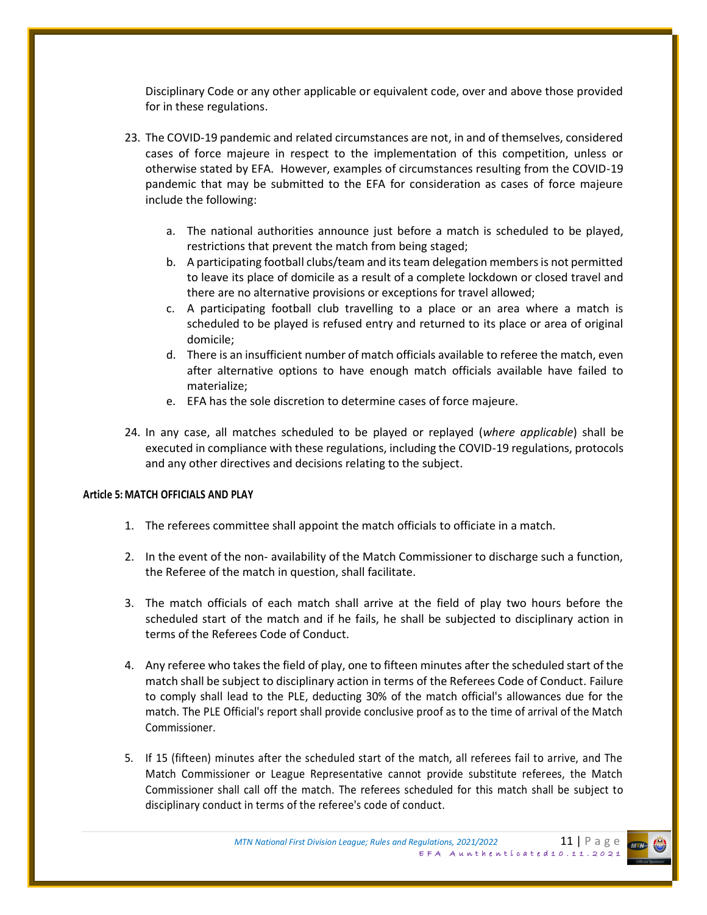Disciplinary Code or any other applicable or equivalent code, over and above those provided for in these regulations.

- 23. The COVID-19 pandemic and related circumstances are not, in and of themselves, considered cases of force majeure in respect to the implementation of this competition, unless or otherwise stated by EFA. However, examples of circumstances resulting from the COVID-19 pandemic that may be submitted to the EFA for consideration as cases of force majeure include the following:
	- a. The national authorities announce just before a match is scheduled to be played, restrictions that prevent the match from being staged;
	- b. A participating football clubs/team and its team delegation members is not permitted to leave its place of domicile as a result of a complete lockdown or closed travel and there are no alternative provisions or exceptions for travel allowed;
	- c. A participating football club travelling to a place or an area where a match is scheduled to be played is refused entry and returned to its place or area of original domicile;
	- d. There is an insufficient number of match officials available to referee the match, even after alternative options to have enough match officials available have failed to materialize;
	- e. EFA has the sole discretion to determine cases of force majeure.
- 24. In any case, all matches scheduled to be played or replayed (*where applicable*) shall be executed in compliance with these regulations, including the COVID-19 regulations, protocols and any other directives and decisions relating to the subject.

#### **Article 5: MATCH OFFICIALS AND PLAY**

- 1. The referees committee shall appoint the match officials to officiate in a match.
- 2. In the event of the non- availability of the Match Commissioner to discharge such a function, the Referee of the match in question, shall facilitate.
- 3. The match officials of each match shall arrive at the field of play two hours before the scheduled start of the match and if he fails, he shall be subjected to disciplinary action in terms of the Referees Code of Conduct.
- 4. Any referee who takes the field of play, one to fifteen minutes after the scheduled start of the match shall be subject to disciplinary action in terms of the Referees Code of Conduct. Failure to comply shall lead to the PLE, deducting 30% of the match official's allowances due for the match. The PLE Official's report shall provide conclusive proof as to the time of arrival of the Match Commissioner.
- 5. If 15 (fifteen) minutes after the scheduled start of the match, all referees fail to arrive, and The Match Commissioner or League Representative cannot provide substitute referees, the Match Commissioner shall call off the match. The referees scheduled for this match shall be subject to disciplinary conduct in terms of the referee's code of conduct.

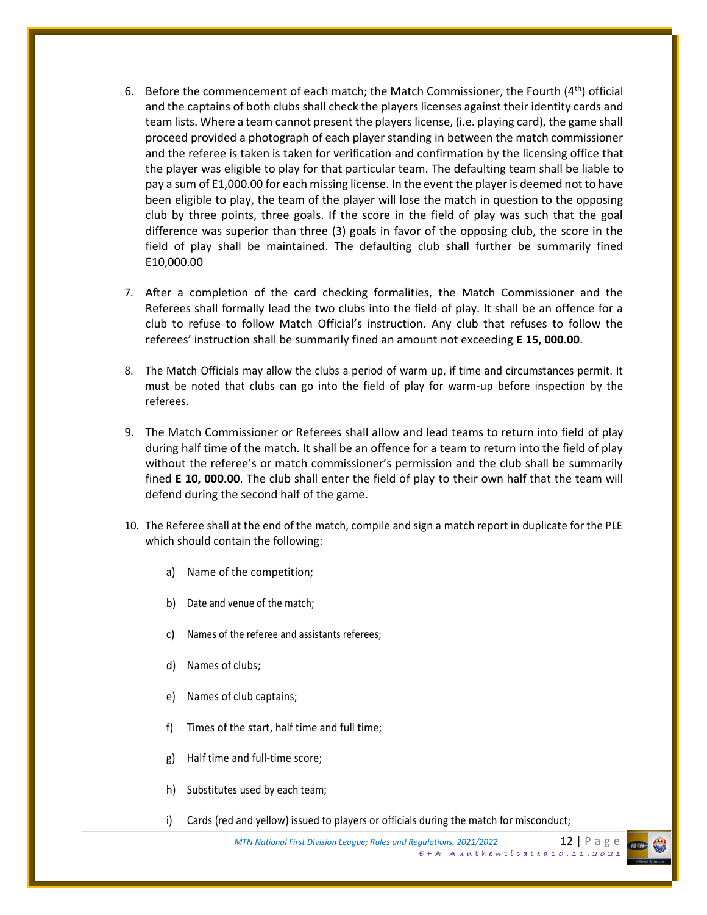- 6. Before the commencement of each match; the Match Commissioner, the Fourth  $(4<sup>th</sup>)$  official and the captains of both clubs shall check the players licenses against their identity cards and team lists. Where a team cannot present the players license, (i.e. playing card), the game shall proceed provided a photograph of each player standing in between the match commissioner and the referee is taken is taken for verification and confirmation by the licensing office that the player was eligible to play for that particular team. The defaulting team shall be liable to pay a sum of E1,000.00 for each missing license. In the event the player is deemed not to have been eligible to play, the team of the player will lose the match in question to the opposing club by three points, three goals. If the score in the field of play was such that the goal difference was superior than three (3) goals in favor of the opposing club, the score in the field of play shall be maintained. The defaulting club shall further be summarily fined E10,000.00
- 7. After a completion of the card checking formalities, the Match Commissioner and the Referees shall formally lead the two clubs into the field of play. It shall be an offence for a club to refuse to follow Match Official's instruction. Any club that refuses to follow the referees' instruction shall be summarily fined an amount not exceeding **E 15, 000.00**.
- 8. The Match Officials may allow the clubs a period of warm up, if time and circumstances permit. It must be noted that clubs can go into the field of play for warm-up before inspection by the referees.
- 9. The Match Commissioner or Referees shall allow and lead teams to return into field of play during half time of the match. It shall be an offence for a team to return into the field of play without the referee's or match commissioner's permission and the club shall be summarily fined **E 10, 000.00**. The club shall enter the field of play to their own half that the team will defend during the second half of the game.
- 10. The Referee shall at the end of the match, compile and sign a match report in duplicate for the PLE which should contain the following:
	- a) Name of the competition;
	- b) Date and venue of the match;
	- c) Names of the referee and assistants referees;
	- d) Names of clubs;
	- e) Names of club captains;
	- f) Times of the start, half time and full time;
	- g) Half time and full-time score;
	- h) Substitutes used by each team;
	- i) Cards (red and yellow) issued to players or officials during the match for misconduct;

*MTN National First Division League; Rules and Regulations, 2021/2022* 12 P a g e  $EFA$  Aunthenticated 10.11.2021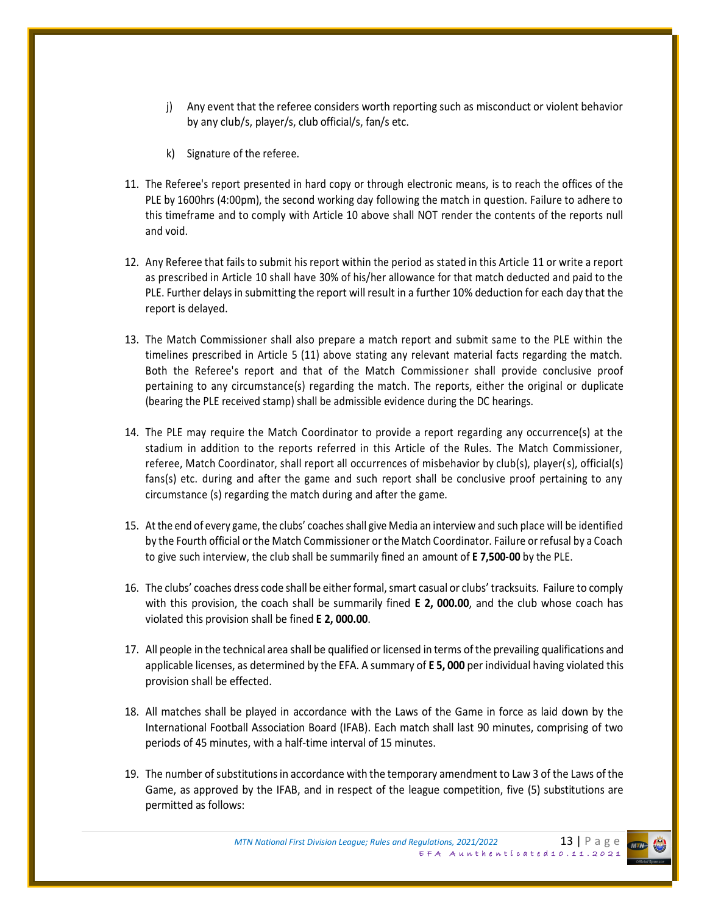- j) Any event that the referee considers worth reporting such as misconduct or violent behavior by any club/s, player/s, club official/s, fan/s etc.
- k) Signature of the referee.
- 11. The Referee's report presented in hard copy or through electronic means, is to reach the offices of the PLE by 1600hrs (4:00pm), the second working day following the match in question. Failure to adhere to this timeframe and to comply with Article 10 above shall NOT render the contents of the reports null and void.
- 12. Any Referee that fails to submit his report within the period as stated in this Article 11 or write a report as prescribed in Article 10 shall have 30% of his/her allowance for that match deducted and paid to the PLE. Further delays in submitting the report will result in a further 10% deduction for each day that the report is delayed.
- 13. The Match Commissioner shall also prepare a match report and submit same to the PLE within the timelines prescribed in Article 5 (11) above stating any relevant material facts regarding the match. Both the Referee's report and that of the Match Commissioner shall provide conclusive proof pertaining to any circumstance(s) regarding the match. The reports, either the original or duplicate (bearing the PLE received stamp) shall be admissible evidence during the DC hearings.
- 14. The PLE may require the Match Coordinator to provide a report regarding any occurrence(s) at the stadium in addition to the reports referred in this Article of the Rules. The Match Commissioner, referee, Match Coordinator, shall report all occurrences of misbehavior by club(s), player(s), official(s) fans(s) etc. during and after the game and such report shall be conclusive proof pertaining to any circumstance (s) regarding the match during and after the game.
- 15. At the end of every game, the clubs' coaches shall give Media an interview and such place will be identified by the Fourth official or the Match Commissioner or the Match Coordinator. Failure or refusal by a Coach to give such interview, the club shall be summarily fined an amount of **E 7,500-00** by the PLE.
- 16. The clubs' coaches dress code shall be either formal, smart casual or clubs' tracksuits. Failure to comply with this provision, the coach shall be summarily fined **E 2, 000.00**, and the club whose coach has violated this provision shall be fined **E 2, 000.00**.
- 17. All people in the technical area shall be qualified or licensed in terms of the prevailing qualifications and applicable licenses, as determined by the EFA. A summary of **E 5, 000** per individual having violated this provision shall be effected.
- 18. All matches shall be played in accordance with the Laws of the Game in force as laid down by the International Football Association Board (IFAB). Each match shall last 90 minutes, comprising of two periods of 45 minutes, with a half-time interval of 15 minutes.
- 19. The number of substitutions in accordance with the temporary amendment to Law 3 of the Laws of the Game, as approved by the IFAB, and in respect of the league competition, five (5) substitutions are permitted as follows:

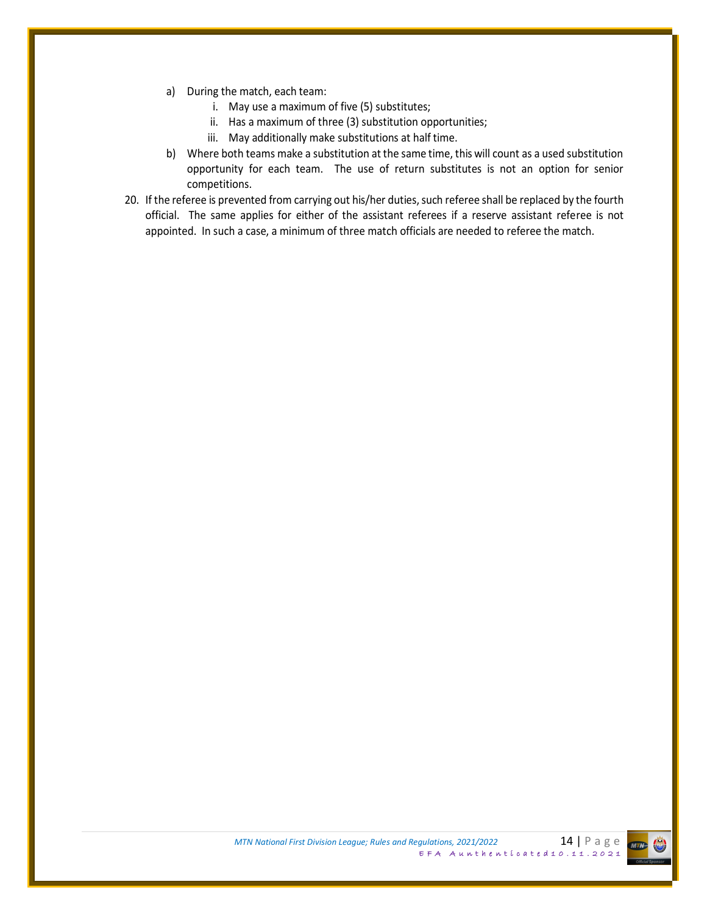- a) During the match, each team:
	- i. May use a maximum of five (5) substitutes;
	- ii. Has a maximum of three (3) substitution opportunities;
	- iii. May additionally make substitutions at half time.
- b) Where both teams make a substitution at the same time, this will count as a used substitution opportunity for each team. The use of return substitutes is not an option for senior competitions.
- 20. If the referee is prevented from carrying out his/her duties, such referee shall be replaced by the fourth official. The same applies for either of the assistant referees if a reserve assistant referee is not appointed. In such a case, a minimum of three match officials are needed to referee the match.

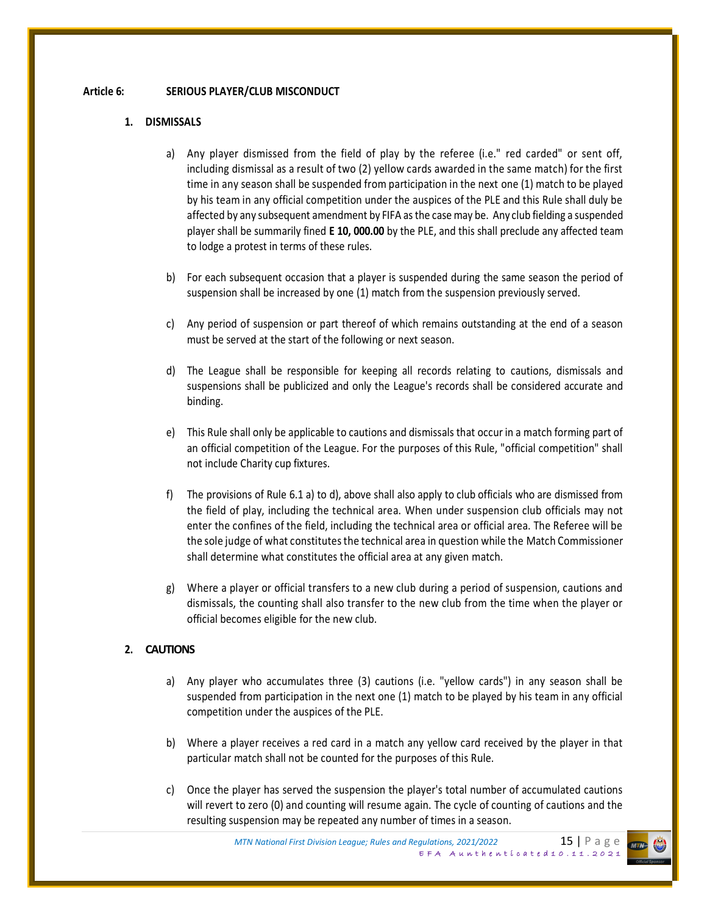#### **Article 6: SERIOUS PLAYER/CLUB MISCONDUCT**

#### **1. DISMISSALS**

- a) Any player dismissed from the field of play by the referee (i.e." red carded" or sent off, including dismissal as a result of two (2) yellow cards awarded in the same match) for the first time in any season shall be suspended from participation in the next one (1) match to be played by his team in any official competition under the auspices of the PLE and this Rule shall duly be affected by any subsequent amendment by FIFA as the case may be. Any club fielding a suspended player shall be summarily fined **E 10, 000.00** by the PLE, and this shall preclude any affected team to lodge a protest in terms of these rules.
- b) For each subsequent occasion that a player is suspended during the same season the period of suspension shall be increased by one (1) match from the suspension previously served.
- c) Any period of suspension or part thereof of which remains outstanding at the end of a season must be served at the start of the following or next season.
- d) The League shall be responsible for keeping all records relating to cautions, dismissals and suspensions shall be publicized and only the League's records shall be considered accurate and binding.
- e) This Rule shall only be applicable to cautions and dismissals that occur in a match forming part of an official competition of the League. For the purposes of this Rule, "official competition" shall not include Charity cup fixtures.
- f) The provisions of Rule 6.1 a) to d), above shall also apply to club officials who are dismissed from the field of play, including the technical area. When under suspension club officials may not enter the confines of the field, including the technical area or official area. The Referee will be the sole judge of what constitutes the technical area in question while the Match Commissioner shall determine what constitutes the official area at any given match.
- g) Where a player or official transfers to a new club during a period of suspension, cautions and dismissals, the counting shall also transfer to the new club from the time when the player or official becomes eligible for the new club.

#### **2. CAUTIONS**

- a) Any player who accumulates three (3) cautions (i.e. "yellow cards") in any season shall be suspended from participation in the next one (1) match to be played by his team in any official competition under the auspices of the PLE.
- b) Where a player receives a red card in a match any yellow card received by the player in that particular match shall not be counted for the purposes of this Rule.
- c) Once the player has served the suspension the player's total number of accumulated cautions will revert to zero (0) and counting will resume again. The cycle of counting of cautions and the resulting suspension may be repeated any number of times in a season.

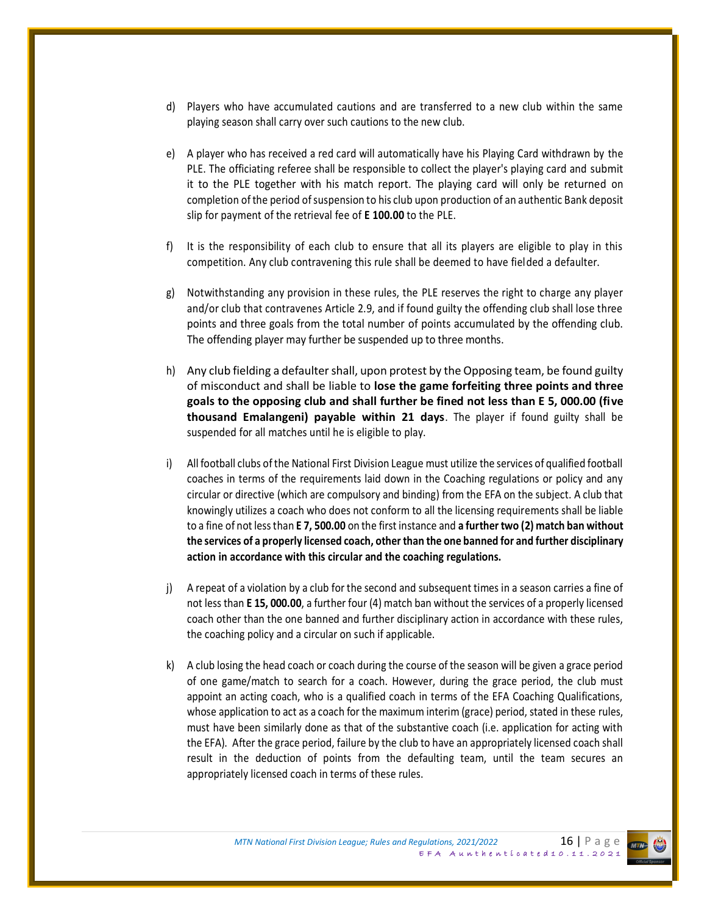- d) Players who have accumulated cautions and are transferred to a new club within the same playing season shall carry over such cautions to the new club.
- e) A player who has received a red card will automatically have his Playing Card withdrawn by the PLE. The officiating referee shall be responsible to collect the player's playing card and submit it to the PLE together with his match report. The playing card will only be returned on completion of the period of suspension to his club upon production of an authentic Bank deposit slip for payment of the retrieval fee of **E 100.00** to the PLE.
- f) It is the responsibility of each club to ensure that all its players are eligible to play in this competition. Any club contravening this rule shall be deemed to have fielded a defaulter.
- g) Notwithstanding any provision in these rules, the PLE reserves the right to charge any player and/or club that contravenes Article 2.9, and if found guilty the offending club shall lose three points and three goals from the total number of points accumulated by the offending club. The offending player may further be suspended up to three months.
- h) Any club fielding a defaulter shall, upon protest by the Opposing team, be found guilty of misconduct and shall be liable to **lose the game forfeiting three points and three goals to the opposing club and shall further be fined not less than E 5, 000.00 (five thousand Emalangeni) payable within 21 days**. The player if found guilty shall be suspended for all matches until he is eligible to play.
- i) All football clubs of the National First Division League must utilize the services of qualified football coaches in terms of the requirements laid down in the Coaching regulations or policy and any circular or directive (which are compulsory and binding) from the EFA on the subject. A club that knowingly utilizes a coach who does not conform to all the licensing requirements shall be liable to a fine of not less than **E 7, 500.00** on the first instance and **a further two (2) match ban without the services of a properly licensed coach, other than the one banned for and further disciplinary action in accordance with this circular and the coaching regulations.**
- j) A repeat of a violation by a club for the second and subsequent times in a season carries a fine of not less than **E 15, 000.00**, a further four (4) match ban without the services of a properly licensed coach other than the one banned and further disciplinary action in accordance with these rules, the coaching policy and a circular on such if applicable.
- k) A club losing the head coach or coach during the course of the season will be given a grace period of one game/match to search for a coach. However, during the grace period, the club must appoint an acting coach, who is a qualified coach in terms of the EFA Coaching Qualifications, whose application to act as a coach for the maximum interim (grace) period, stated in these rules, must have been similarly done as that of the substantive coach (i.e. application for acting with the EFA). After the grace period, failure by the club to have an appropriately licensed coach shall result in the deduction of points from the defaulting team, until the team secures an appropriately licensed coach in terms of these rules.

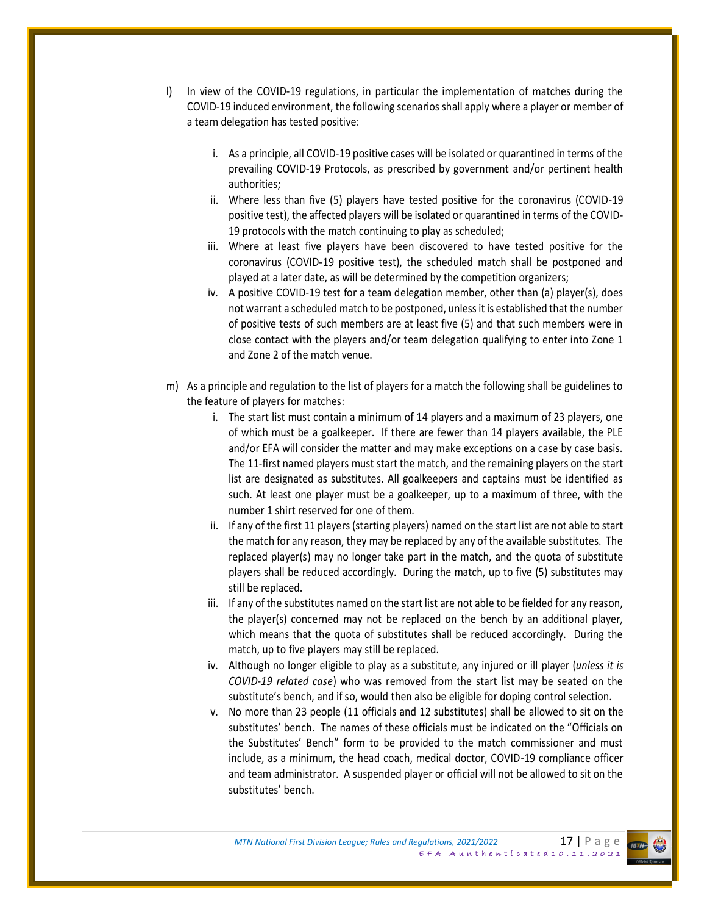- l) In view of the COVID-19 regulations, in particular the implementation of matches during the COVID-19 induced environment, the following scenarios shall apply where a player or member of a team delegation has tested positive:
	- i. As a principle, all COVID-19 positive cases will be isolated or quarantined in terms of the prevailing COVID-19 Protocols, as prescribed by government and/or pertinent health authorities;
	- ii. Where less than five (5) players have tested positive for the coronavirus (COVID-19 positive test), the affected players will be isolated or quarantined in terms of the COVID-19 protocols with the match continuing to play as scheduled;
	- iii. Where at least five players have been discovered to have tested positive for the coronavirus (COVID-19 positive test), the scheduled match shall be postponed and played at a later date, as will be determined by the competition organizers;
	- iv. A positive COVID-19 test for a team delegation member, other than (a) player(s), does not warrant a scheduled match to be postponed, unless it is established that the number of positive tests of such members are at least five (5) and that such members were in close contact with the players and/or team delegation qualifying to enter into Zone 1 and Zone 2 of the match venue.
- m) As a principle and regulation to the list of players for a match the following shall be guidelines to the feature of players for matches:
	- i. The start list must contain a minimum of 14 players and a maximum of 23 players, one of which must be a goalkeeper. If there are fewer than 14 players available, the PLE and/or EFA will consider the matter and may make exceptions on a case by case basis. The 11-first named players must start the match, and the remaining players on the start list are designated as substitutes. All goalkeepers and captains must be identified as such. At least one player must be a goalkeeper, up to a maximum of three, with the number 1 shirt reserved for one of them.
	- ii. If any of the first 11 players (starting players) named on the start list are not able to start the match for any reason, they may be replaced by any of the available substitutes. The replaced player(s) may no longer take part in the match, and the quota of substitute players shall be reduced accordingly. During the match, up to five (5) substitutes may still be replaced.
	- iii. If any of the substitutes named on the start list are not able to be fielded for any reason, the player(s) concerned may not be replaced on the bench by an additional player, which means that the quota of substitutes shall be reduced accordingly. During the match, up to five players may still be replaced.
	- iv. Although no longer eligible to play as a substitute, any injured or ill player (*unless it is COVID-19 related case*) who was removed from the start list may be seated on the substitute's bench, and if so, would then also be eligible for doping control selection.
	- v. No more than 23 people (11 officials and 12 substitutes) shall be allowed to sit on the substitutes' bench. The names of these officials must be indicated on the "Officials on the Substitutes' Bench" form to be provided to the match commissioner and must include, as a minimum, the head coach, medical doctor, COVID-19 compliance officer and team administrator. A suspended player or official will not be allowed to sit on the substitutes' bench.

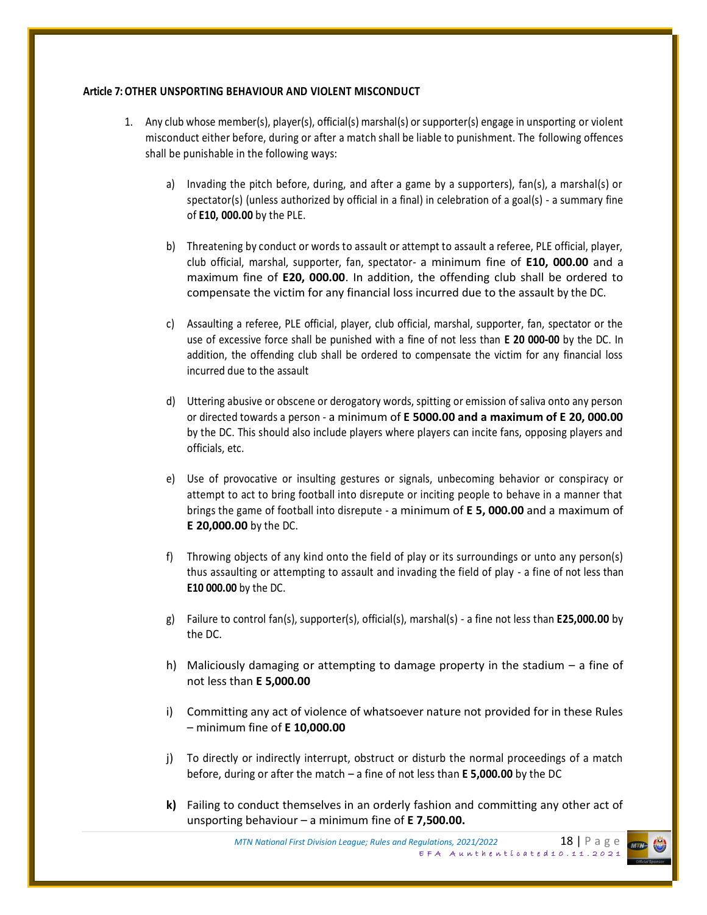#### **Article 7:OTHER UNSPORTING BEHAVIOUR AND VIOLENT MISCONDUCT**

- 1. Any club whose member(s), player(s), official(s) marshal(s) or supporter(s) engage in unsporting or violent misconduct either before, during or after a match shall be liable to punishment. The following offences shall be punishable in the following ways:
	- a) Invading the pitch before, during, and after a game by a supporters), fan(s), a marshal(s) or spectator(s) (unless authorized by official in a final) in celebration of a goal(s) - a summary fine of **E10, 000.00** by the PLE.
	- b) Threatening by conduct or words to assault or attempt to assault a referee, PLE official, player, club official, marshal, supporter, fan, spectator- a minimum fine of **E10, 000.00** and a maximum fine of **E20, 000.00**. In addition, the offending club shall be ordered to compensate the victim for any financial loss incurred due to the assault by the DC.
	- c) Assaulting a referee, PLE official, player, club official, marshal, supporter, fan, spectator or the use of excessive force shall be punished with a fine of not less than **E 20 000-00** by the DC. In addition, the offending club shall be ordered to compensate the victim for any financial loss incurred due to the assault
	- d) Uttering abusive or obscene or derogatory words, spitting or emission of saliva onto any person or directed towards a person - a minimum of **E 5000.00 and a maximum of E 20, 000.00** by the DC. This should also include players where players can incite fans, opposing players and officials, etc.
	- e) Use of provocative or insulting gestures or signals, unbecoming behavior or conspiracy or attempt to act to bring football into disrepute or inciting people to behave in a manner that brings the game of football into disrepute - a minimum of **E 5, 000.00** and a maximum of **E 20,000.00** by the DC.
	- f) Throwing objects of any kind onto the field of play or its surroundings or unto any person(s) thus assaulting or attempting to assault and invading the field of play - a fine of not less than **E10 000.00** by the DC.
	- g) Failure to control fan(s), supporter(s), official(s), marshal(s) a fine not less than **E25,000.00** by the DC.
	- h) Maliciously damaging or attempting to damage property in the stadium a fine of not less than **E 5,000.00**
	- i) Committing any act of violence of whatsoever nature not provided for in these Rules – minimum fine of **E 10,000.00**
	- j) To directly or indirectly interrupt, obstruct or disturb the normal proceedings of a match before, during or after the match – a fine of not less than **E 5,000.00** by the DC
	- **k)** Failing to conduct themselves in an orderly fashion and committing any other act of unsporting behaviour – a minimum fine of **E 7,500.00.**

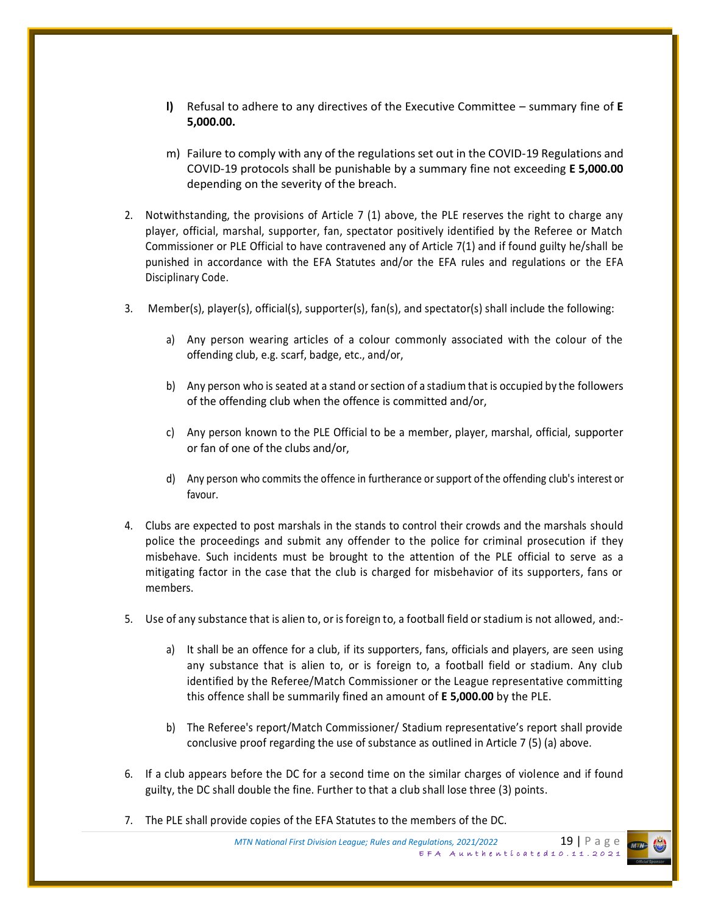- **l)** Refusal to adhere to any directives of the Executive Committee summary fine of **E 5,000.00.**
- m) Failure to comply with any of the regulations set out in the COVID-19 Regulations and COVID-19 protocols shall be punishable by a summary fine not exceeding **E 5,000.00** depending on the severity of the breach.
- 2. Notwithstanding, the provisions of Article 7 (1) above, the PLE reserves the right to charge any player, official, marshal, supporter, fan, spectator positively identified by the Referee or Match Commissioner or PLE Official to have contravened any of Article 7(1) and if found guilty he/shall be punished in accordance with the EFA Statutes and/or the EFA rules and regulations or the EFA Disciplinary Code.
- 3. Member(s), player(s), official(s), supporter(s), fan(s), and spectator(s) shall include the following:
	- a) Any person wearing articles of a colour commonly associated with the colour of the offending club, e.g. scarf, badge, etc., and/or,
	- b) Any person who is seated at a stand or section of a stadium that is occupied by the followers of the offending club when the offence is committed and/or,
	- c) Any person known to the PLE Official to be a member, player, marshal, official, supporter or fan of one of the clubs and/or,
	- d) Any person who commits the offence in furtherance or support of the offending club's interest or favour.
- 4. Clubs are expected to post marshals in the stands to control their crowds and the marshals should police the proceedings and submit any offender to the police for criminal prosecution if they misbehave. Such incidents must be brought to the attention of the PLE official to serve as a mitigating factor in the case that the club is charged for misbehavior of its supporters, fans or members.
- 5. Use of any substance that is alien to, or is foreign to, a football field or stadium is not allowed, and:
	- a) It shall be an offence for a club, if its supporters, fans, officials and players, are seen using any substance that is alien to, or is foreign to, a football field or stadium. Any club identified by the Referee/Match Commissioner or the League representative committing this offence shall be summarily fined an amount of **E 5,000.00** by the PLE.
	- b) The Referee's report/Match Commissioner/ Stadium representative's report shall provide conclusive proof regarding the use of substance as outlined in Article 7 (5) (a) above.
- 6. If a club appears before the DC for a second time on the similar charges of violence and if found guilty, the DC shall double the fine. Further to that a club shall lose three (3) points.
- 7. The PLE shall provide copies of the EFA Statutes to the members of the DC.

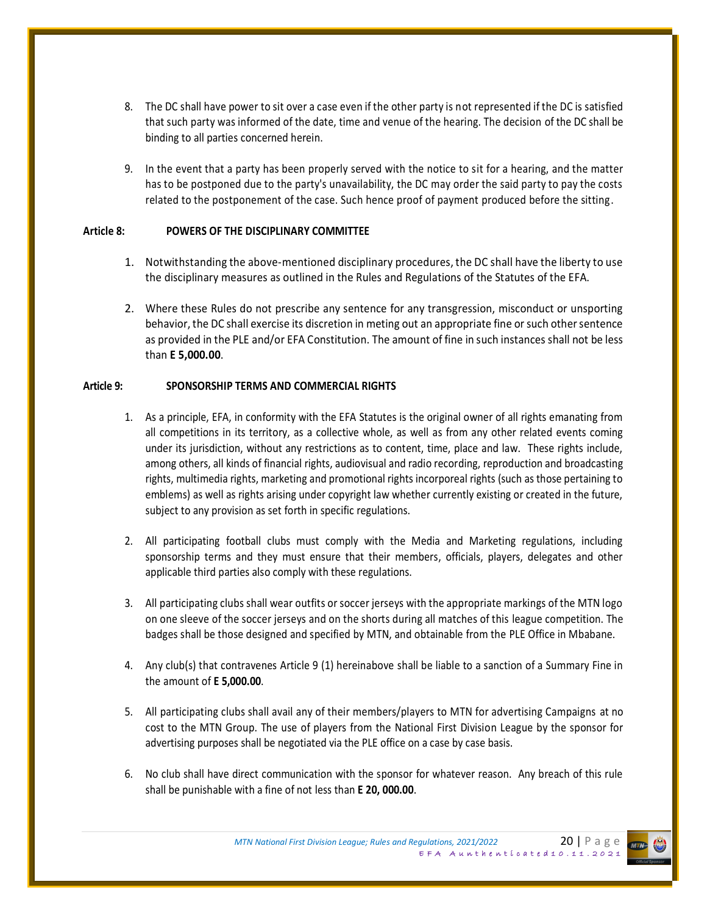- 8. The DC shall have power to sit over a case even if the other party is not represented if the DC is satisfied that such party was informed of the date, time and venue of the hearing. The decision of the DC shall be binding to all parties concerned herein.
- 9. In the event that a party has been properly served with the notice to sit for a hearing, and the matter has to be postponed due to the party's unavailability, the DC may order the said party to pay the costs related to the postponement of the case. Such hence proof of payment produced before the sitting.

### **Article 8: POWERS OF THE DISCIPLINARY COMMITTEE**

- 1. Notwithstanding the above-mentioned disciplinary procedures, the DC shall have the liberty to use the disciplinary measures as outlined in the Rules and Regulations of the Statutes of the EFA.
- 2. Where these Rules do not prescribe any sentence for any transgression, misconduct or unsporting behavior, the DC shall exercise its discretion in meting out an appropriate fine or such other sentence as provided in the PLE and/or EFA Constitution. The amount of fine in such instances shall not be less than **E 5,000.00**.

### **Article 9: SPONSORSHIP TERMS AND COMMERCIAL RIGHTS**

- 1. As a principle, EFA, in conformity with the EFA Statutes is the original owner of all rights emanating from all competitions in its territory, as a collective whole, as well as from any other related events coming under its jurisdiction, without any restrictions as to content, time, place and law. These rights include, among others, all kinds of financial rights, audiovisual and radio recording, reproduction and broadcasting rights, multimedia rights, marketing and promotional rights incorporeal rights (such as those pertaining to emblems) as well as rights arising under copyright law whether currently existing or created in the future, subject to any provision as set forth in specific regulations.
- 2. All participating football clubs must comply with the Media and Marketing regulations, including sponsorship terms and they must ensure that their members, officials, players, delegates and other applicable third parties also comply with these regulations.
- 3. All participating clubs shall wear outfits or soccer jerseys with the appropriate markings of the MTN logo on one sleeve of the soccer jerseys and on the shorts during all matches of this league competition. The badges shall be those designed and specified by MTN, and obtainable from the PLE Office in Mbabane.
- 4. Any club(s) that contravenes Article 9 (1) hereinabove shall be liable to a sanction of a Summary Fine in the amount of **E 5,000.00**.
- 5. All participating clubs shall avail any of their members/players to MTN for advertising Campaigns at no cost to the MTN Group. The use of players from the National First Division League by the sponsor for advertising purposes shall be negotiated via the PLE office on a case by case basis.
- 6. No club shall have direct communication with the sponsor for whatever reason. Any breach of this rule shall be punishable with a fine of not less than **E 20, 000.00**.

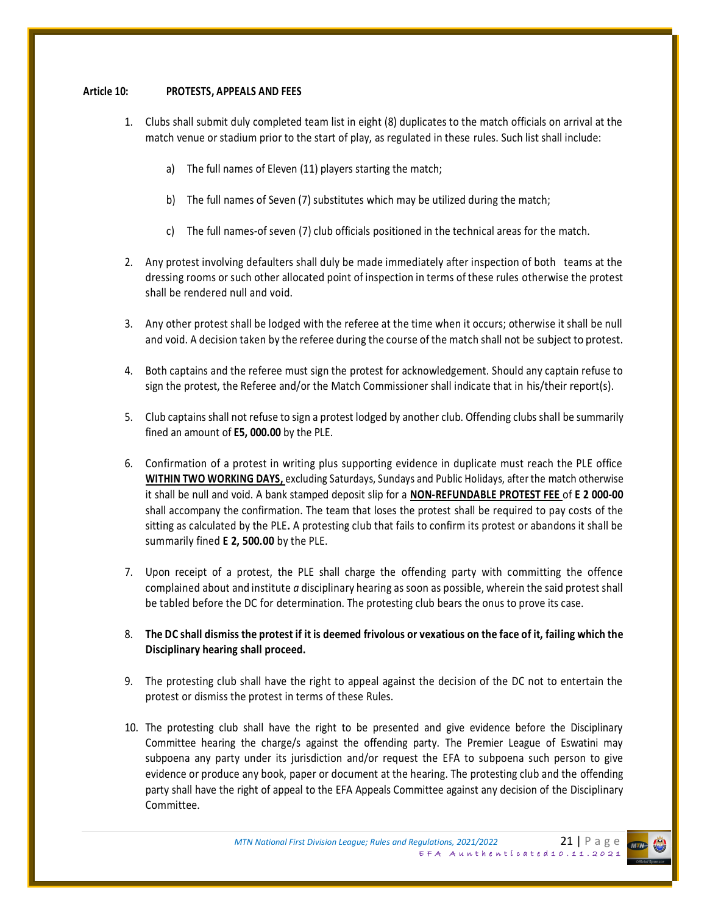#### **Article 10: PROTESTS, APPEALS AND FEES**

- 1. Clubs shall submit duly completed team list in eight (8) duplicates to the match officials on arrival at the match venue or stadium prior to the start of play, as regulated in these rules. Such list shall include:
	- a) The full names of Eleven (11) players starting the match;
	- b) The full names of Seven (7) substitutes which may be utilized during the match;
	- c) The full names-of seven (7) club officials positioned in the technical areas for the match.
- 2. Any protest involving defaulters shall duly be made immediately after inspection of both teams at the dressing rooms or such other allocated point of inspection in terms of these rules otherwise the protest shall be rendered null and void.
- 3. Any other protest shall be lodged with the referee at the time when it occurs; otherwise it shall be null and void. A decision taken by the referee during the course of the match shall not be subject to protest.
- 4. Both captains and the referee must sign the protest for acknowledgement. Should any captain refuse to sign the protest, the Referee and/or the Match Commissioner shall indicate that in his/their report(s).
- 5. Club captains shall not refuse to sign a protest lodged by another club. Offending clubs shall be summarily fined an amount of **E5, 000.00** by the PLE.
- 6. Confirmation of a protest in writing plus supporting evidence in duplicate must reach the PLE office **WITHIN TWO WORKING DAYS,** excluding Saturdays, Sundays and Public Holidays, after the match otherwise it shall be null and void. A bank stamped deposit slip for a **NON-REFUNDABLE PROTEST FEE** of **E 2 000-00**  shall accompany the confirmation. The team that loses the protest shall be required to pay costs of the sitting as calculated by the PLE**.** A protesting club that fails to confirm its protest or abandons it shall be summarily fined **E 2, 500.00** by the PLE.
- 7. Upon receipt of a protest, the PLE shall charge the offending party with committing the offence complained about and institute *a* disciplinary hearing as soon as possible, wherein the said protest shall be tabled before the DC for determination. The protesting club bears the onus to prove its case.
- 8. **The DC shall dismiss the protest if it is deemed frivolous or vexatious on the face of it, failing which the Disciplinary hearing shall proceed.**
- 9. The protesting club shall have the right to appeal against the decision of the DC not to entertain the protest or dismiss the protest in terms of these Rules.
- 10. The protesting club shall have the right to be presented and give evidence before the Disciplinary Committee hearing the charge/s against the offending party. The Premier League of Eswatini may subpoena any party under its jurisdiction and/or request the EFA to subpoena such person to give evidence or produce any book, paper or document at the hearing. The protesting club and the offending party shall have the right of appeal to the EFA Appeals Committee against any decision of the Disciplinary Committee.

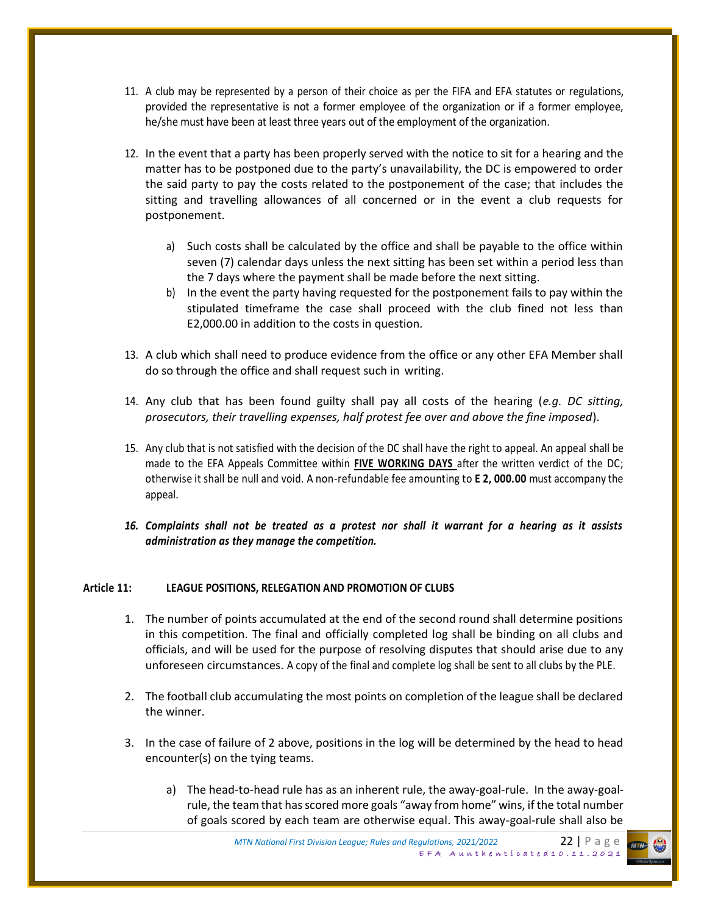- 11. A club may be represented by a person of their choice as per the FIFA and EFA statutes or regulations, provided the representative is not a former employee of the organization or if a former employee, he/she must have been at least three years out of the employment of the organization.
- 12. In the event that a party has been properly served with the notice to sit for a hearing and the matter has to be postponed due to the party's unavailability, the DC is empowered to order the said party to pay the costs related to the postponement of the case; that includes the sitting and travelling allowances of all concerned or in the event a club requests for postponement.
	- a) Such costs shall be calculated by the office and shall be payable to the office within seven (7) calendar days unless the next sitting has been set within a period less than the 7 days where the payment shall be made before the next sitting.
	- b) In the event the party having requested for the postponement fails to pay within the stipulated timeframe the case shall proceed with the club fined not less than E2,000.00 in addition to the costs in question.
- 13. A club which shall need to produce evidence from the office or any other EFA Member shall do so through the office and shall request such in writing.
- 14. Any club that has been found guilty shall pay all costs of the hearing (*e.g. DC sitting, prosecutors, their travelling expenses, half protest fee over and above the fine imposed*).
- 15. Any club that is not satisfied with the decision of the DC shall have the right to appeal. An appeal shall be made to the EFA Appeals Committee within **FIVE WORKING DAYS** after the written verdict of the DC; otherwise it shall be null and void. A non-refundable fee amounting to **E 2, 000.00** must accompany the appeal.
- *16. Complaints shall not be treated as a protest nor shall it warrant for a hearing as it assists administration as they manage the competition.*

#### **Article 11: LEAGUE POSITIONS, RELEGATION AND PROMOTION OF CLUBS**

- 1. The number of points accumulated at the end of the second round shall determine positions in this competition. The final and officially completed log shall be binding on all clubs and officials, and will be used for the purpose of resolving disputes that should arise due to any unforeseen circumstances. A copy of the final and complete log shall be sent to all clubs by the PLE.
- 2. The football club accumulating the most points on completion of the league shall be declared the winner.
- 3. In the case of failure of 2 above, positions in the log will be determined by the head to head encounter(s) on the tying teams.
	- a) The head-to-head rule has as an inherent rule, the away-goal-rule. In the away-goalrule, the team that has scored more goals "away from home" wins, if the total number of goals scored by each team are otherwise equal. This away-goal-rule shall also be

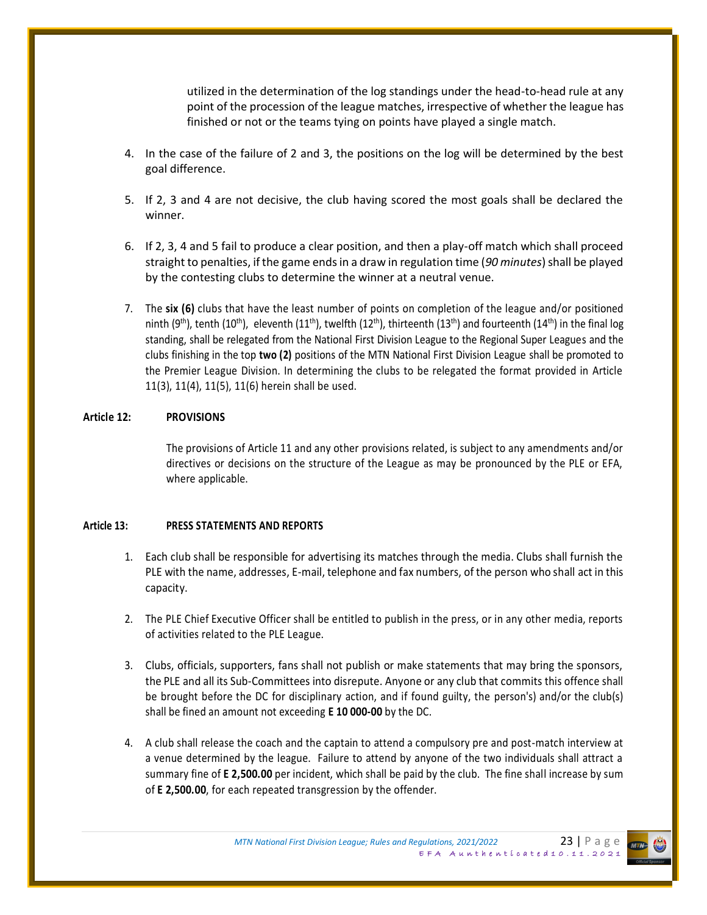utilized in the determination of the log standings under the head-to-head rule at any point of the procession of the league matches, irrespective of whether the league has finished or not or the teams tying on points have played a single match.

- 4. In the case of the failure of 2 and 3, the positions on the log will be determined by the best goal difference.
- 5. If 2, 3 and 4 are not decisive, the club having scored the most goals shall be declared the winner.
- 6. If 2, 3, 4 and 5 fail to produce a clear position, and then a play-off match which shall proceed straight to penalties, if the game ends in a draw in regulation time (*90 minutes*) shall be played by the contesting clubs to determine the winner at a neutral venue.
- 7. The **six (6)** clubs that have the least number of points on completion of the league and/or positioned ninth (9<sup>th</sup>), tenth (10<sup>th</sup>), eleventh (11<sup>th</sup>), twelfth (12<sup>th</sup>), thirteenth (13<sup>th</sup>) and fourteenth (14<sup>th</sup>) in the final log standing, shall be relegated from the National First Division League to the Regional Super Leagues and the clubs finishing in the top **two (2)** positions of the MTN National First Division League shall be promoted to the Premier League Division. In determining the clubs to be relegated the format provided in Article 11(3), 11(4), 11(5), 11(6) herein shall be used.

### **Article 12: PROVISIONS**

The provisions of Article 11 and any other provisions related, is subject to any amendments and/or directives or decisions on the structure of the League as may be pronounced by the PLE or EFA, where applicable.

#### **Article 13: PRESS STATEMENTS AND REPORTS**

- 1. Each club shall be responsible for advertising its matches through the media. Clubs shall furnish the PLE with the name, addresses, E-mail, telephone and fax numbers, of the person who shall act in this capacity.
- 2. The PLE Chief Executive Officer shall be entitled to publish in the press, or in any other media, reports of activities related to the PLE League.
- 3. Clubs, officials, supporters, fans shall not publish or make statements that may bring the sponsors, the PLE and all its Sub-Committees into disrepute. Anyone or any club that commits this offence shall be brought before the DC for disciplinary action, and if found guilty, the person's) and/or the club(s) shall be fined an amount not exceeding **E 10 000-00** by the DC.
- 4. A club shall release the coach and the captain to attend a compulsory pre and post-match interview at a venue determined by the league. Failure to attend by anyone of the two individuals shall attract a summary fine of **E 2,500.00** per incident, which shall be paid by the club. The fine shall increase by sum of **E 2,500.00**, for each repeated transgression by the offender.

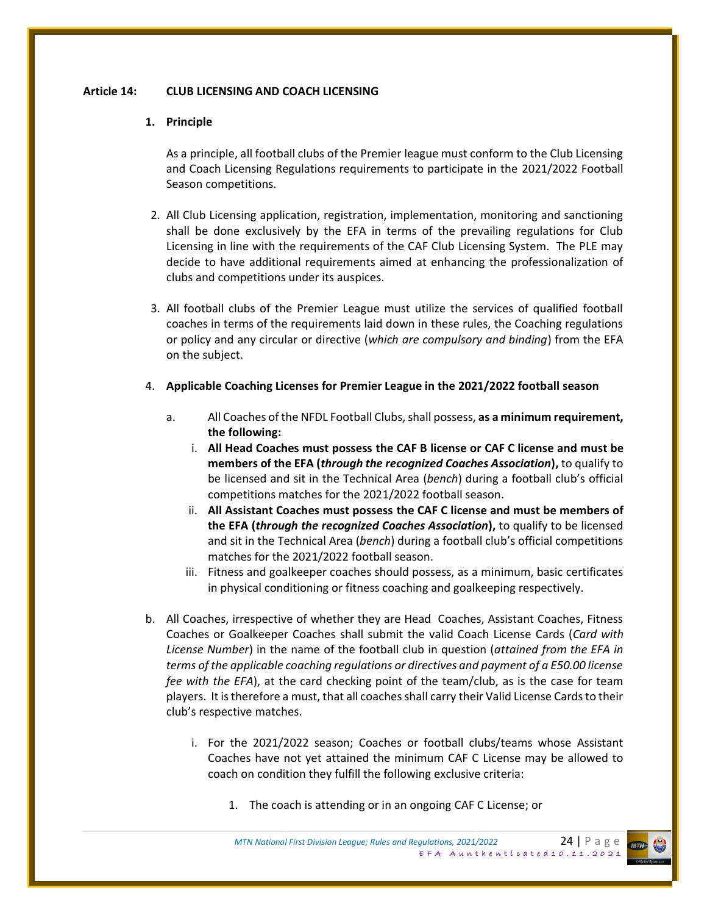### **Article 14: CLUB LICENSING AND COACH LICENSING**

### **1. Principle**

As a principle, all football clubs of the Premier league must conform to the Club Licensing and Coach Licensing Regulations requirements to participate in the 2021/2022 Football Season competitions.

- 2. All Club Licensing application, registration, implementation, monitoring and sanctioning shall be done exclusively by the EFA in terms of the prevailing regulations for Club Licensing in line with the requirements of the CAF Club Licensing System. The PLE may decide to have additional requirements aimed at enhancing the professionalization of clubs and competitions under its auspices.
- 3. All football clubs of the Premier League must utilize the services of qualified football coaches in terms of the requirements laid down in these rules, the Coaching regulations or policy and any circular or directive (*which are compulsory and binding*) from the EFA on the subject.
- 4. **Applicable Coaching Licenses for Premier League in the 2021/2022 football season**
	- a. All Coaches of the NFDL Football Clubs, shall possess, **as a minimum requirement, the following:**
		- i. **All Head Coaches must possess the CAF B license or CAF C license and must be members of the EFA (***through the recognized Coaches Association***),** to qualify to be licensed and sit in the Technical Area (*bench*) during a football club's official competitions matches for the 2021/2022 football season.
		- ii. **All Assistant Coaches must possess the CAF C license and must be members of the EFA (***through the recognized Coaches Association***),** to qualify to be licensed and sit in the Technical Area (*bench*) during a football club's official competitions matches for the 2021/2022 football season.
		- iii. Fitness and goalkeeper coaches should possess, as a minimum, basic certificates in physical conditioning or fitness coaching and goalkeeping respectively.
- b. All Coaches, irrespective of whether they are Head Coaches, Assistant Coaches, Fitness Coaches or Goalkeeper Coaches shall submit the valid Coach License Cards (*Card with License Number*) in the name of the football club in question (*attained from the EFA in terms of the applicable coaching regulations or directives and payment of a E50.00 license fee with the EFA*), at the card checking point of the team/club, as is the case for team players. It is therefore a must, that all coaches shall carry their Valid License Cards to their club's respective matches.
	- i. For the 2021/2022 season; Coaches or football clubs/teams whose Assistant Coaches have not yet attained the minimum CAF C License may be allowed to coach on condition they fulfill the following exclusive criteria:
		- 1. The coach is attending or in an ongoing CAF C License; or

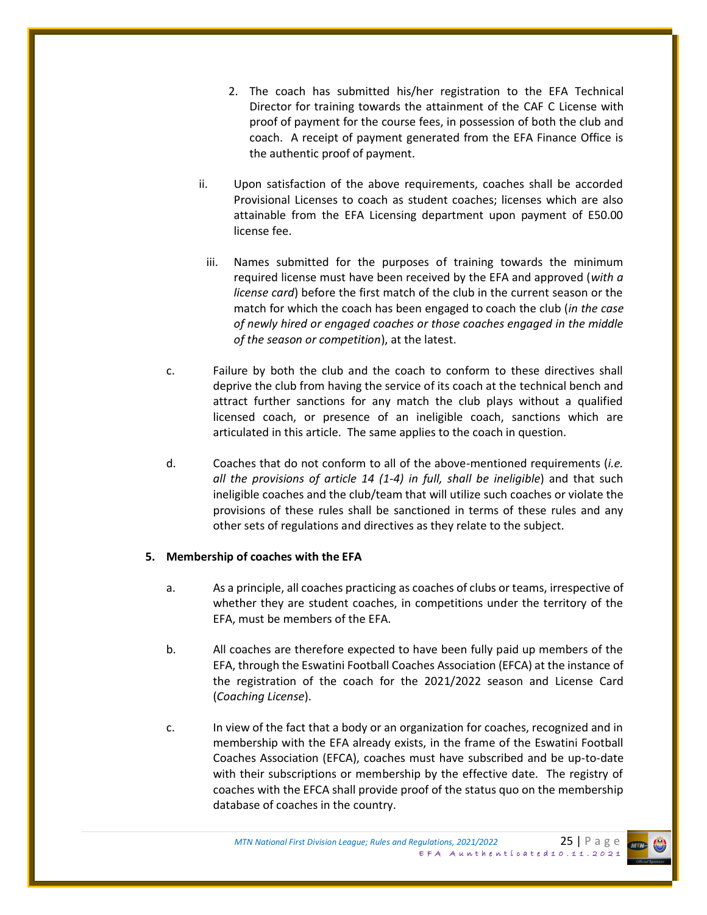- 2. The coach has submitted his/her registration to the EFA Technical Director for training towards the attainment of the CAF C License with proof of payment for the course fees, in possession of both the club and coach. A receipt of payment generated from the EFA Finance Office is the authentic proof of payment.
- ii. Upon satisfaction of the above requirements, coaches shall be accorded Provisional Licenses to coach as student coaches; licenses which are also attainable from the EFA Licensing department upon payment of E50.00 license fee.
	- iii. Names submitted for the purposes of training towards the minimum required license must have been received by the EFA and approved (*with a license card*) before the first match of the club in the current season or the match for which the coach has been engaged to coach the club (*in the case of newly hired or engaged coaches or those coaches engaged in the middle of the season or competition*), at the latest.
- c. Failure by both the club and the coach to conform to these directives shall deprive the club from having the service of its coach at the technical bench and attract further sanctions for any match the club plays without a qualified licensed coach, or presence of an ineligible coach, sanctions which are articulated in this article. The same applies to the coach in question.
- d. Coaches that do not conform to all of the above-mentioned requirements (*i.e. all the provisions of article 14 (1-4) in full, shall be ineligible*) and that such ineligible coaches and the club/team that will utilize such coaches or violate the provisions of these rules shall be sanctioned in terms of these rules and any other sets of regulations and directives as they relate to the subject.

### **5. Membership of coaches with the EFA**

- a. As a principle, all coaches practicing as coaches of clubs or teams, irrespective of whether they are student coaches, in competitions under the territory of the EFA, must be members of the EFA.
- b. All coaches are therefore expected to have been fully paid up members of the EFA, through the Eswatini Football Coaches Association (EFCA) at the instance of the registration of the coach for the 2021/2022 season and License Card (*Coaching License*).
- c. In view of the fact that a body or an organization for coaches, recognized and in membership with the EFA already exists, in the frame of the Eswatini Football Coaches Association (EFCA), coaches must have subscribed and be up-to-date with their subscriptions or membership by the effective date. The registry of coaches with the EFCA shall provide proof of the status quo on the membership database of coaches in the country.

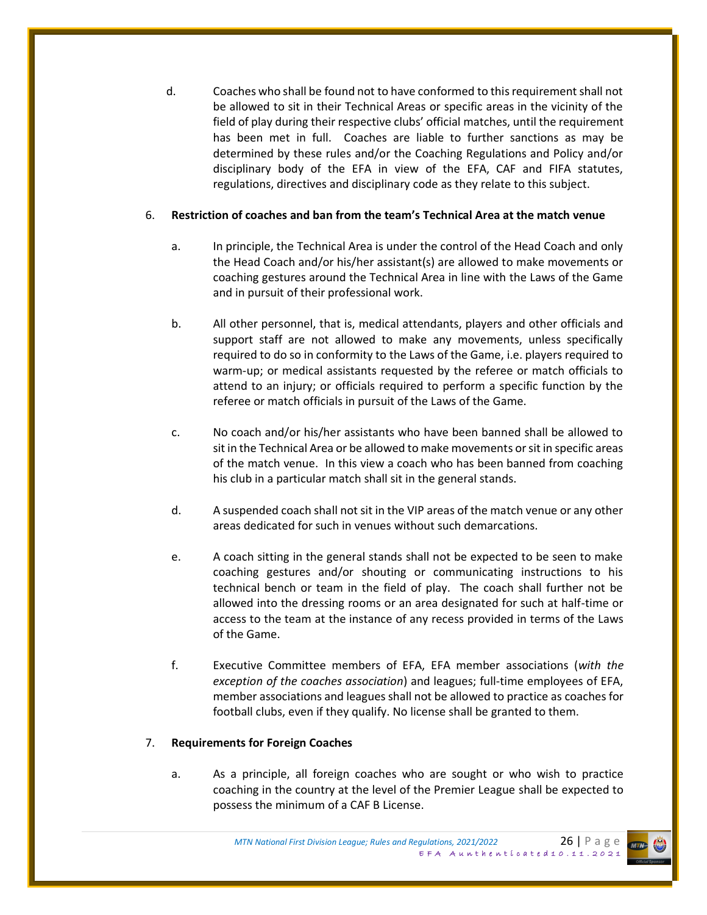d. Coaches who shall be found not to have conformed to this requirement shall not be allowed to sit in their Technical Areas or specific areas in the vicinity of the field of play during their respective clubs' official matches, until the requirement has been met in full. Coaches are liable to further sanctions as may be determined by these rules and/or the Coaching Regulations and Policy and/or disciplinary body of the EFA in view of the EFA, CAF and FIFA statutes, regulations, directives and disciplinary code as they relate to this subject.

### 6. **Restriction of coaches and ban from the team's Technical Area at the match venue**

- a. In principle, the Technical Area is under the control of the Head Coach and only the Head Coach and/or his/her assistant(s) are allowed to make movements or coaching gestures around the Technical Area in line with the Laws of the Game and in pursuit of their professional work.
- b. All other personnel, that is, medical attendants, players and other officials and support staff are not allowed to make any movements, unless specifically required to do so in conformity to the Laws of the Game, i.e. players required to warm-up; or medical assistants requested by the referee or match officials to attend to an injury; or officials required to perform a specific function by the referee or match officials in pursuit of the Laws of the Game.
- c. No coach and/or his/her assistants who have been banned shall be allowed to sit in the Technical Area or be allowed to make movements or sit in specific areas of the match venue. In this view a coach who has been banned from coaching his club in a particular match shall sit in the general stands.
- d. A suspended coach shall not sit in the VIP areas of the match venue or any other areas dedicated for such in venues without such demarcations.
- e. A coach sitting in the general stands shall not be expected to be seen to make coaching gestures and/or shouting or communicating instructions to his technical bench or team in the field of play. The coach shall further not be allowed into the dressing rooms or an area designated for such at half-time or access to the team at the instance of any recess provided in terms of the Laws of the Game.
- f. Executive Committee members of EFA, EFA member associations (*with the exception of the coaches association*) and leagues; full-time employees of EFA, member associations and leagues shall not be allowed to practice as coaches for football clubs, even if they qualify. No license shall be granted to them.

### 7. **Requirements for Foreign Coaches**

a. As a principle, all foreign coaches who are sought or who wish to practice coaching in the country at the level of the Premier League shall be expected to possess the minimum of a CAF B License.

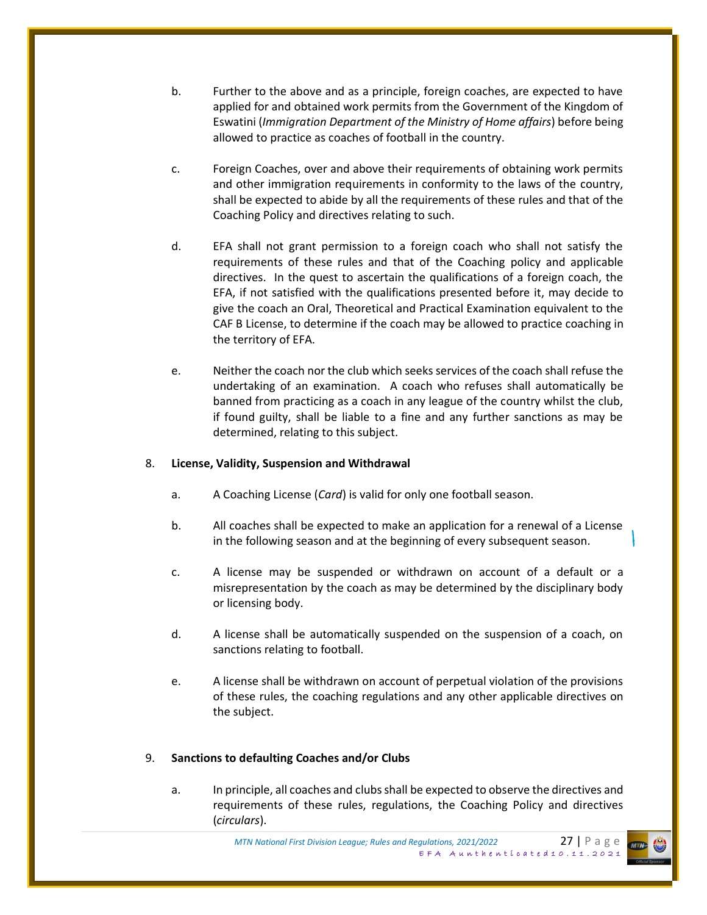- b. Further to the above and as a principle, foreign coaches, are expected to have applied for and obtained work permits from the Government of the Kingdom of Eswatini (*Immigration Department of the Ministry of Home affairs*) before being allowed to practice as coaches of football in the country.
- c. Foreign Coaches, over and above their requirements of obtaining work permits and other immigration requirements in conformity to the laws of the country, shall be expected to abide by all the requirements of these rules and that of the Coaching Policy and directives relating to such.
- d. EFA shall not grant permission to a foreign coach who shall not satisfy the requirements of these rules and that of the Coaching policy and applicable directives. In the quest to ascertain the qualifications of a foreign coach, the EFA, if not satisfied with the qualifications presented before it, may decide to give the coach an Oral, Theoretical and Practical Examination equivalent to the CAF B License, to determine if the coach may be allowed to practice coaching in the territory of EFA.
- e. Neither the coach nor the club which seeks services of the coach shall refuse the undertaking of an examination. A coach who refuses shall automatically be banned from practicing as a coach in any league of the country whilst the club, if found guilty, shall be liable to a fine and any further sanctions as may be determined, relating to this subject.

### 8. **License, Validity, Suspension and Withdrawal**

- a. A Coaching License (*Card*) is valid for only one football season.
- b. All coaches shall be expected to make an application for a renewal of a License in the following season and at the beginning of every subsequent season.
- c. A license may be suspended or withdrawn on account of a default or a misrepresentation by the coach as may be determined by the disciplinary body or licensing body.
- d. A license shall be automatically suspended on the suspension of a coach, on sanctions relating to football.
- e. A license shall be withdrawn on account of perpetual violation of the provisions of these rules, the coaching regulations and any other applicable directives on the subject.

#### 9. **Sanctions to defaulting Coaches and/or Clubs**

a. In principle, all coaches and clubs shall be expected to observe the directives and requirements of these rules, regulations, the Coaching Policy and directives (*circulars*).

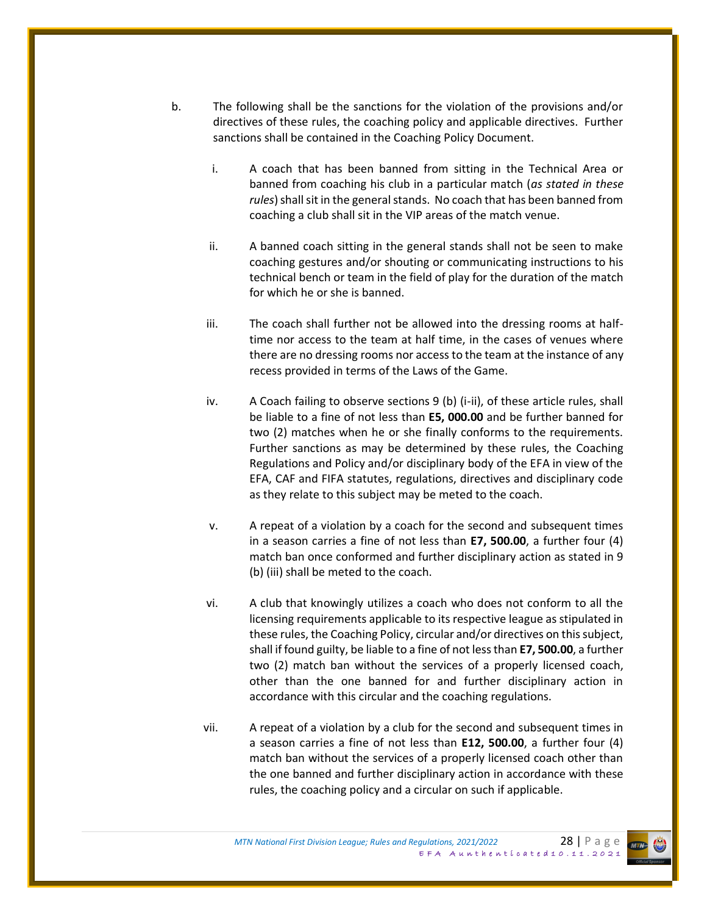- b. The following shall be the sanctions for the violation of the provisions and/or directives of these rules, the coaching policy and applicable directives. Further sanctions shall be contained in the Coaching Policy Document.
	- i. A coach that has been banned from sitting in the Technical Area or banned from coaching his club in a particular match (*as stated in these rules*) shall sit in the general stands. No coach that has been banned from coaching a club shall sit in the VIP areas of the match venue.
	- ii. A banned coach sitting in the general stands shall not be seen to make coaching gestures and/or shouting or communicating instructions to his technical bench or team in the field of play for the duration of the match for which he or she is banned.
	- iii. The coach shall further not be allowed into the dressing rooms at halftime nor access to the team at half time, in the cases of venues where there are no dressing rooms nor access to the team at the instance of any recess provided in terms of the Laws of the Game.
	- iv. A Coach failing to observe sections 9 (b) (i-ii), of these article rules, shall be liable to a fine of not less than **E5, 000.00** and be further banned for two (2) matches when he or she finally conforms to the requirements. Further sanctions as may be determined by these rules, the Coaching Regulations and Policy and/or disciplinary body of the EFA in view of the EFA, CAF and FIFA statutes, regulations, directives and disciplinary code as they relate to this subject may be meted to the coach.
	- v. A repeat of a violation by a coach for the second and subsequent times in a season carries a fine of not less than **E7, 500.00**, a further four (4) match ban once conformed and further disciplinary action as stated in 9 (b) (iii) shall be meted to the coach.
	- vi. A club that knowingly utilizes a coach who does not conform to all the licensing requirements applicable to its respective league as stipulated in these rules, the Coaching Policy, circular and/or directives on this subject, shall if found guilty, be liable to a fine of not less than **E7, 500.00**, a further two (2) match ban without the services of a properly licensed coach, other than the one banned for and further disciplinary action in accordance with this circular and the coaching regulations.
	- vii. A repeat of a violation by a club for the second and subsequent times in a season carries a fine of not less than **E12, 500.00**, a further four (4) match ban without the services of a properly licensed coach other than the one banned and further disciplinary action in accordance with these rules, the coaching policy and a circular on such if applicable.

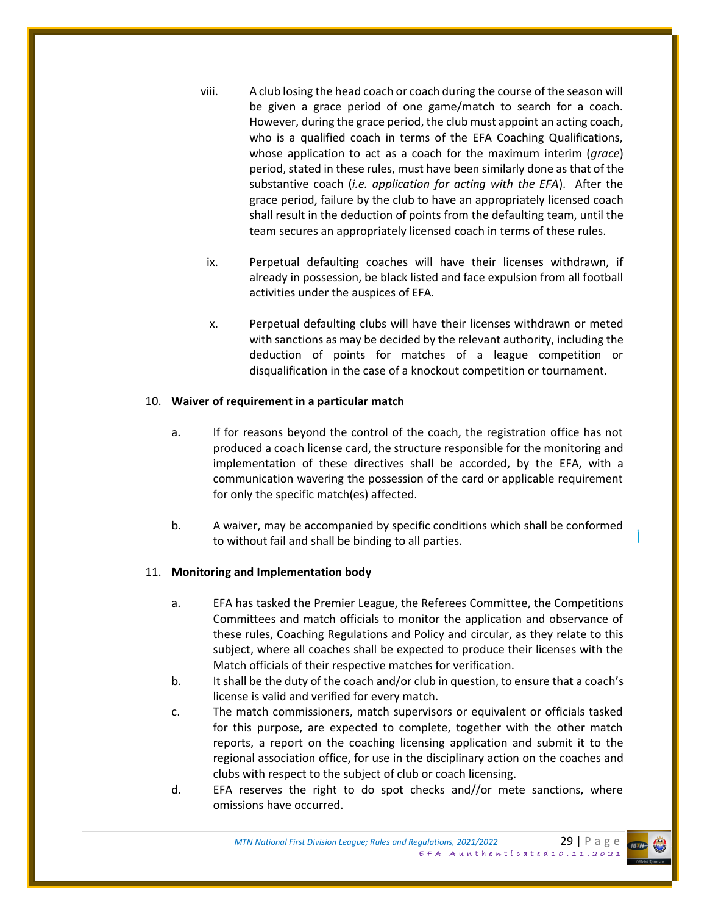- viii. A club losing the head coach or coach during the course of the season will be given a grace period of one game/match to search for a coach. However, during the grace period, the club must appoint an acting coach, who is a qualified coach in terms of the EFA Coaching Qualifications, whose application to act as a coach for the maximum interim (*grace*) period, stated in these rules, must have been similarly done as that of the substantive coach (*i.e. application for acting with the EFA*). After the grace period, failure by the club to have an appropriately licensed coach shall result in the deduction of points from the defaulting team, until the team secures an appropriately licensed coach in terms of these rules.
- ix. Perpetual defaulting coaches will have their licenses withdrawn, if already in possession, be black listed and face expulsion from all football activities under the auspices of EFA.
- x. Perpetual defaulting clubs will have their licenses withdrawn or meted with sanctions as may be decided by the relevant authority, including the deduction of points for matches of a league competition or disqualification in the case of a knockout competition or tournament.

### 10. **Waiver of requirement in a particular match**

- a. If for reasons beyond the control of the coach, the registration office has not produced a coach license card, the structure responsible for the monitoring and implementation of these directives shall be accorded, by the EFA, with a communication wavering the possession of the card or applicable requirement for only the specific match(es) affected.
- b. A waiver, may be accompanied by specific conditions which shall be conformed to without fail and shall be binding to all parties.

### 11. **Monitoring and Implementation body**

- a. EFA has tasked the Premier League, the Referees Committee, the Competitions Committees and match officials to monitor the application and observance of these rules, Coaching Regulations and Policy and circular, as they relate to this subject, where all coaches shall be expected to produce their licenses with the Match officials of their respective matches for verification.
- b. It shall be the duty of the coach and/or club in question, to ensure that a coach's license is valid and verified for every match.
- c. The match commissioners, match supervisors or equivalent or officials tasked for this purpose, are expected to complete, together with the other match reports, a report on the coaching licensing application and submit it to the regional association office, for use in the disciplinary action on the coaches and clubs with respect to the subject of club or coach licensing.
- d. EFA reserves the right to do spot checks and//or mete sanctions, where omissions have occurred.

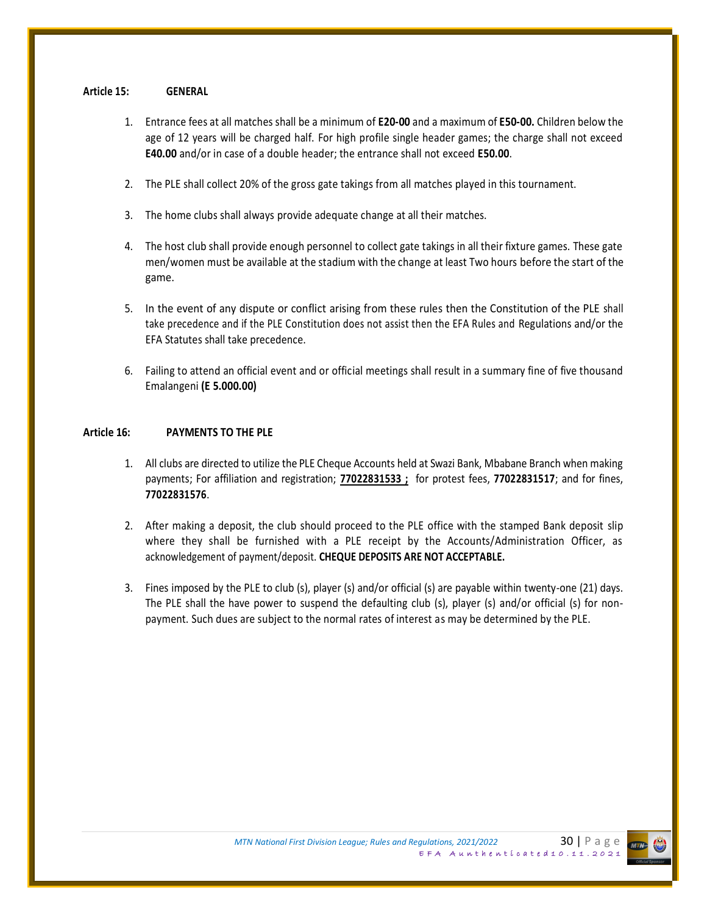#### **Article 15: GENERAL**

- 1. Entrance fees at all matches shall be a minimum of **E20-00** and a maximum of **E50-00.** Children below the age of 12 years will be charged half. For high profile single header games; the charge shall not exceed **E40.00** and/or in case of a double header; the entrance shall not exceed **E50.00**.
- 2. The PLE shall collect 20% of the gross gate takings from all matches played in this tournament.
- 3. The home clubs shall always provide adequate change at all their matches.
- 4. The host club shall provide enough personnel to collect gate takings in all their fixture games. These gate men/women must be available at the stadium with the change at least Two hours before the start of the game.
- 5. In the event of any dispute or conflict arising from these rules then the Constitution of the PLE shall take precedence and if the PLE Constitution does not assist then the EFA Rules and Regulations and/or the EFA Statutes shall take precedence.
- 6. Failing to attend an official event and or official meetings shall result in a summary fine of five thousand Emalangeni **(E 5.000.00)**

#### **Article 16: PAYMENTS TO THE PLE**

- 1. All clubs are directed to utilize the PLE Cheque Accounts held at Swazi Bank, Mbabane Branch when making payments; For affiliation and registration; **77022831533 ;** for protest fees, **77022831517**; and for fines, **77022831576**.
- 2. After making a deposit, the club should proceed to the PLE office with the stamped Bank deposit slip where they shall be furnished with a PLE receipt by the Accounts/Administration Officer, as acknowledgement of payment/deposit. **CHEQUE DEPOSITS ARE NOT ACCEPTABLE.**
- 3. Fines imposed by the PLE to club (s), player (s) and/or official (s) are payable within twenty-one (21) days. The PLE shall the have power to suspend the defaulting club (s), player (s) and/or official (s) for nonpayment. Such dues are subject to the normal rates of interest as may be determined by the PLE.

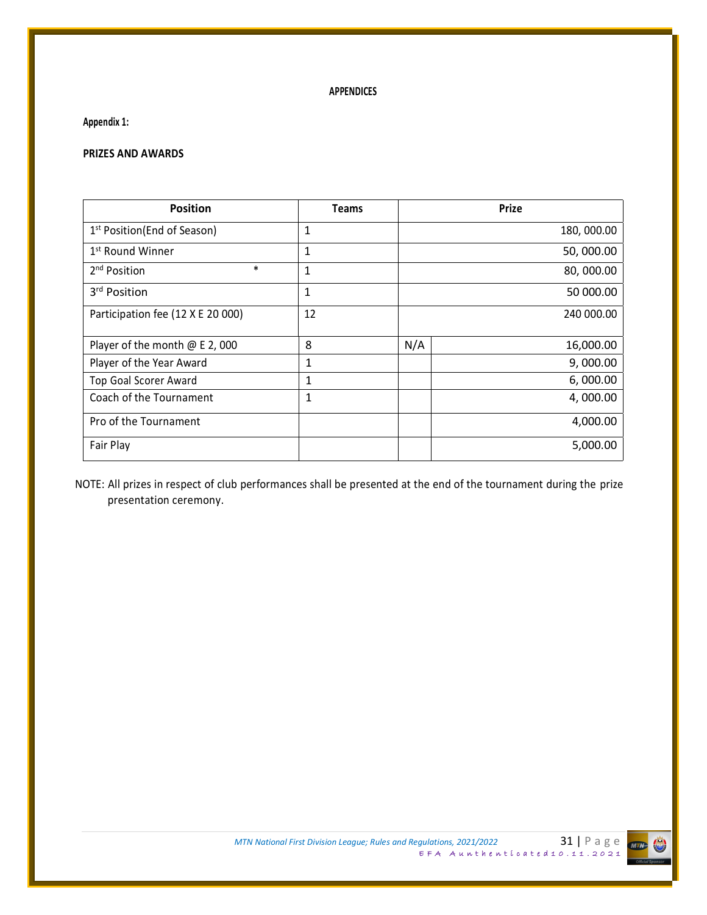### **APPENDICES**

**Appendix 1:**

### **PRIZES AND AWARDS**

| <b>Position</b>                          | <b>Teams</b> | <b>Prize</b>     |
|------------------------------------------|--------------|------------------|
| 1 <sup>st</sup> Position (End of Season) | 1            | 180, 000.00      |
| 1 <sup>st</sup> Round Winner             | 1            | 50,000.00        |
| $\ast$<br>2 <sup>nd</sup> Position       | 1            | 80,000.00        |
| 3 <sup>rd</sup> Position                 | 1            | 50 000.00        |
| Participation fee (12 X E 20 000)        | 12           | 240 000.00       |
| Player of the month @ E 2, 000           | 8            | N/A<br>16,000.00 |
| Player of the Year Award                 | 1            | 9,000.00         |
| <b>Top Goal Scorer Award</b>             | 1            | 6,000.00         |
| Coach of the Tournament                  | 1            | 4,000.00         |
| Pro of the Tournament                    |              | 4,000.00         |
| Fair Play                                |              | 5,000.00         |

NOTE: All prizes in respect of club performances shall be presented at the end of the tournament during the prize presentation ceremony.